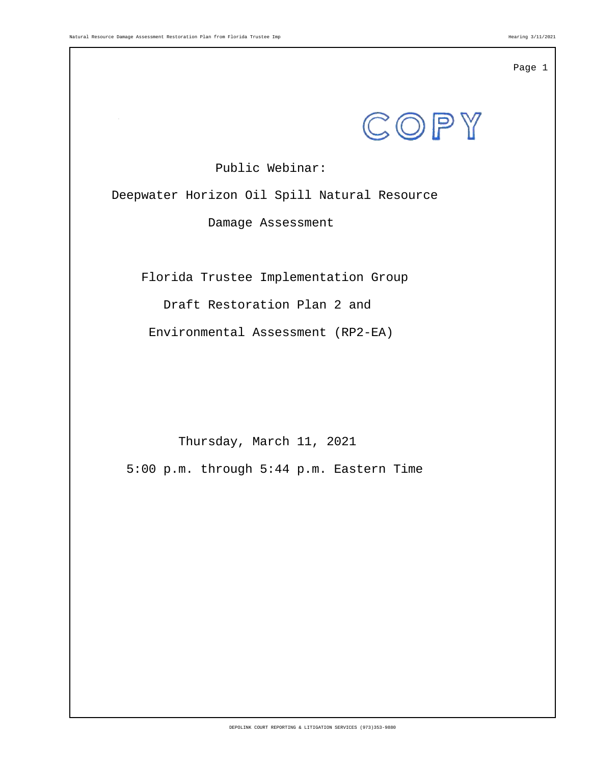

Public Webinar:

Deepwater Horizon Oil Spill Natural Resource

Damage Assessment

Florida Trustee Implementation Group

Draft Restoration Plan 2 and

Environmental Assessment (RP2-EA)

Thursday, March 11, 2021

5:00 p.m. through 5:44 p.m. Eastern Time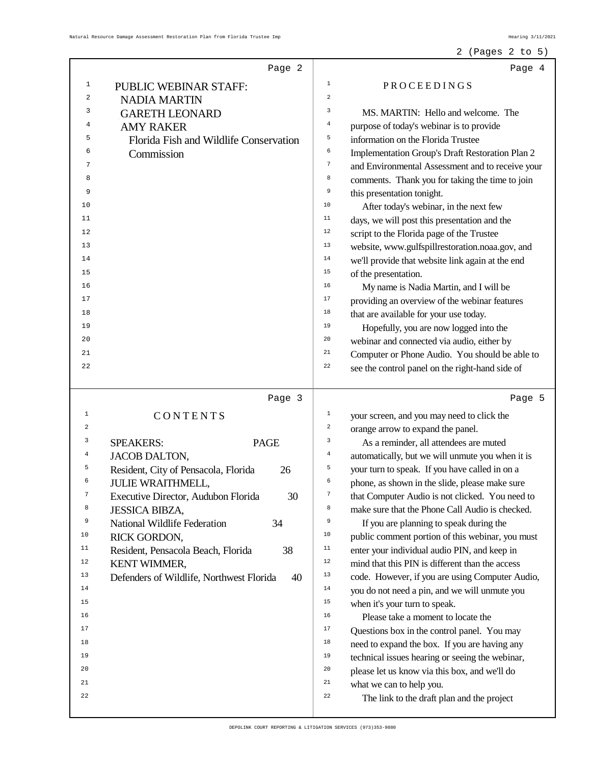## 2 (Pages 2 to 5)

|                | Page 2                                         | Page 4                                                               |
|----------------|------------------------------------------------|----------------------------------------------------------------------|
| 1              | PUBLIC WEBINAR STAFF:                          | 1<br>PROCEEDINGS                                                     |
| 2              | <b>NADIA MARTIN</b>                            | $\,2$                                                                |
| 3              | <b>GARETH LEONARD</b>                          | 3<br>MS. MARTIN: Hello and welcome. The                              |
| 4              | <b>AMY RAKER</b>                               | $\bf 4$<br>purpose of today's webinar is to provide                  |
| 5              | Florida Fish and Wildlife Conservation         | 5<br>information on the Florida Trustee                              |
| 6              | Commission                                     | 6<br>Implementation Group's Draft Restoration Plan 2                 |
| 7              |                                                | $\boldsymbol{7}$<br>and Environmental Assessment and to receive your |
| 8              |                                                | 8<br>comments. Thank you for taking the time to join                 |
| 9              |                                                | 9<br>this presentation tonight.                                      |
| 10             |                                                | 10<br>After today's webinar, in the next few                         |
| 11             |                                                | 11<br>days, we will post this presentation and the                   |
| 12             |                                                | 12<br>script to the Florida page of the Trustee                      |
| 13             |                                                | 13<br>website, www.gulfspillrestoration.noaa.gov, and                |
| 14             |                                                | $14\,$<br>we'll provide that website link again at the end           |
| 15             |                                                | 15<br>of the presentation.                                           |
| 16             |                                                | 16<br>My name is Nadia Martin, and I will be                         |
| 17             |                                                | 17<br>providing an overview of the webinar features                  |
| 18             |                                                | 18<br>that are available for your use today.                         |
| 19             |                                                | 19<br>Hopefully, you are now logged into the                         |
| 20             |                                                | 20<br>webinar and connected via audio, either by                     |
| 21             |                                                | 21<br>Computer or Phone Audio. You should be able to                 |
| 22             |                                                | 22<br>see the control panel on the right-hand side of                |
|                |                                                |                                                                      |
|                |                                                |                                                                      |
|                | Page 3                                         | Page 5                                                               |
| $\mathbf{1}$   | CONTENTS                                       | $\mathbf{1}$<br>your screen, and you may need to click the           |
| 2              |                                                | $\,2$<br>orange arrow to expand the panel.                           |
| 3              | <b>PAGE</b><br><b>SPEAKERS:</b>                | 3<br>As a reminder, all attendees are muted                          |
| $\overline{4}$ | <b>JACOB DALTON,</b>                           | $\bf{4}$<br>automatically, but we will unmute you when it is         |
| 5              | Resident, City of Pensacola, Florida<br>26     | 5<br>your turn to speak. If you have called in on a                  |
| 6              | <b>JULIE WRAITHMELL,</b>                       | 6<br>phone, as shown in the slide, please make sure                  |
| 7              | Executive Director, Audubon Florida<br>30      | that Computer Audio is not clicked. You need to                      |
| 8              | <b>JESSICA BIBZA,</b>                          | 8<br>make sure that the Phone Call Audio is checked.                 |
| 9              | National Wildlife Federation<br>34             | 9<br>If you are planning to speak during the                         |
| 10             | RICK GORDON,                                   | $10$<br>public comment portion of this webinar, you must             |
| 11             | Resident, Pensacola Beach, Florida<br>38       | $11\,$<br>enter your individual audio PIN, and keep in               |
| $1\,2$         | KENT WIMMER,                                   | $1\,2$<br>mind that this PIN is different than the access            |
| 13             | Defenders of Wildlife, Northwest Florida<br>40 | 13<br>code. However, if you are using Computer Audio,                |
| 14             |                                                | $1\,4$<br>you do not need a pin, and we will unmute you              |
| 15             |                                                | 15<br>when it's your turn to speak.                                  |
| 16             |                                                | 16<br>Please take a moment to locate the                             |
| 17             |                                                | 17<br>Questions box in the control panel. You may                    |
| 18             |                                                | $18\,$<br>need to expand the box. If you are having any              |
| 19             |                                                | 19<br>technical issues hearing or seeing the webinar,                |
| 20             |                                                | 20<br>please let us know via this box, and we'll do                  |
| 21             |                                                | 21<br>what we can to help you.                                       |
| 22             |                                                | 22<br>The link to the draft plan and the project                     |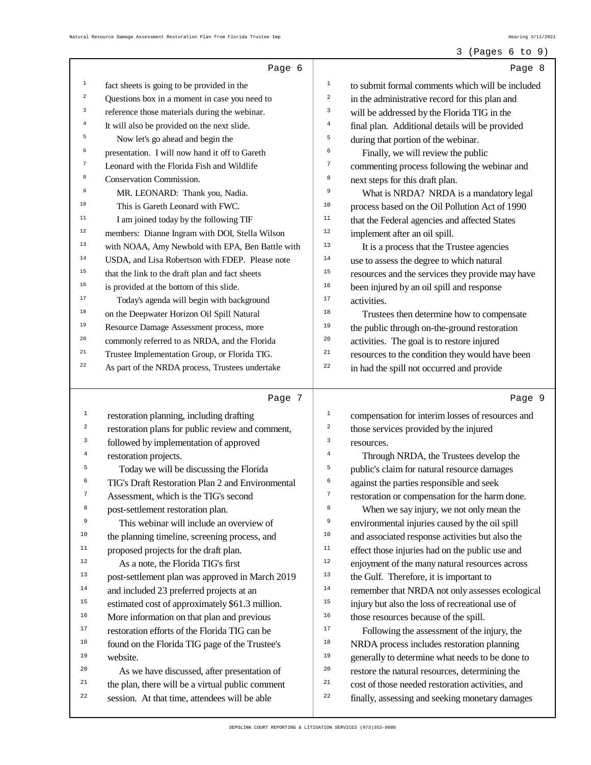#### 3 (Pages 6 to 9)

|                  | Page 6                                                                                            |                         | Page 8                                                                                              |
|------------------|---------------------------------------------------------------------------------------------------|-------------------------|-----------------------------------------------------------------------------------------------------|
| $\mathbf 1$      | fact sheets is going to be provided in the                                                        | $1\,$                   | to submit formal comments which will be included                                                    |
| $\mathbf 2$      | Questions box in a moment in case you need to                                                     | $\overline{\mathbf{c}}$ | in the administrative record for this plan and                                                      |
| 3                | reference those materials during the webinar.                                                     | 3                       | will be addressed by the Florida TIG in the                                                         |
| $\bf{4}$         | It will also be provided on the next slide.                                                       | $\overline{4}$          | final plan. Additional details will be provided                                                     |
| 5                | Now let's go ahead and begin the                                                                  | 5                       | during that portion of the webinar.                                                                 |
| 6                | presentation. I will now hand it off to Gareth                                                    | 6                       | Finally, we will review the public                                                                  |
| 7                | Leonard with the Florida Fish and Wildlife                                                        | $\overline{7}$          | commenting process following the webinar and                                                        |
| 8                | Conservation Commission.                                                                          | 8                       | next steps for this draft plan.                                                                     |
| 9                | MR. LEONARD: Thank you, Nadia.                                                                    | 9                       | What is NRDA? NRDA is a mandatory legal                                                             |
| $10$             | This is Gareth Leonard with FWC.                                                                  | $10$                    | process based on the Oil Pollution Act of 1990                                                      |
| $11$             | I am joined today by the following TIF                                                            | 11                      | that the Federal agencies and affected States                                                       |
| $1\,2$           | members: Dianne Ingram with DOI, Stella Wilson                                                    | 12                      | implement after an oil spill.                                                                       |
| 13               | with NOAA, Amy Newbold with EPA, Ben Battle with                                                  | 13                      | It is a process that the Trustee agencies                                                           |
| $1\,4$           | USDA, and Lisa Robertson with FDEP. Please note                                                   | $14$                    | use to assess the degree to which natural                                                           |
| $15$             | that the link to the draft plan and fact sheets                                                   | 15                      | resources and the services they provide may have                                                    |
| $16\,$           | is provided at the bottom of this slide.                                                          | 16                      | been injured by an oil spill and response                                                           |
| 17               | Today's agenda will begin with background                                                         | 17                      | activities.                                                                                         |
| $1\,8$           | on the Deepwater Horizon Oil Spill Natural                                                        | 18                      | Trustees then determine how to compensate                                                           |
| 19               | Resource Damage Assessment process, more                                                          | 19                      | the public through on-the-ground restoration                                                        |
| 20               | commonly referred to as NRDA, and the Florida                                                     | 20                      | activities. The goal is to restore injured                                                          |
| $2\sqrt{1}$      | Trustee Implementation Group, or Florida TIG.                                                     | 21                      | resources to the condition they would have been                                                     |
| 22               | As part of the NRDA process, Trustees undertake                                                   | 22                      | in had the spill not occurred and provide                                                           |
|                  |                                                                                                   |                         |                                                                                                     |
|                  |                                                                                                   |                         |                                                                                                     |
|                  | Page 7                                                                                            |                         | Page 9                                                                                              |
| $\mathbf{1}$     | restoration planning, including drafting                                                          | $\mathtt 1$             | compensation for interim losses of resources and                                                    |
| $\boldsymbol{2}$ | restoration plans for public review and comment,                                                  | $\mathbf 2$             | those services provided by the injured                                                              |
| 3                | followed by implementation of approved                                                            | 3                       | resources.                                                                                          |
| $\bf 4$          | restoration projects.                                                                             | $\bf 4$                 | Through NRDA, the Trustees develop the                                                              |
| 5                | Today we will be discussing the Florida                                                           | 5                       | public's claim for natural resource damages                                                         |
| 6                | TIG's Draft Restoration Plan 2 and Environmental                                                  | 6                       | against the parties responsible and seek                                                            |
| 7                | Assessment, which is the TIG's second                                                             | 7                       | restoration or compensation for the harm done.                                                      |
| 8                | post-settlement restoration plan.                                                                 | $\,$ 8 $\,$             | When we say injury, we not only mean the                                                            |
| 9                | This webinar will include an overview of                                                          | 9                       | environmental injuries caused by the oil spill                                                      |
| 10               | the planning timeline, screening process, and                                                     | 10                      | and associated response activities but also the                                                     |
| 11               | proposed projects for the draft plan.                                                             | $11\,$                  | effect those injuries had on the public use and                                                     |
| $1\,2$           | As a note, the Florida TIG's first                                                                | $12$                    | enjoyment of the many natural resources across                                                      |
| 13               | post-settlement plan was approved in March 2019                                                   | 13                      | the Gulf. Therefore, it is important to                                                             |
| $14\,$           | and included 23 preferred projects at an                                                          | $14$                    | remember that NRDA not only assesses ecological                                                     |
| 15               | estimated cost of approximately \$61.3 million.                                                   | 15                      | injury but also the loss of recreational use of                                                     |
| 16               | More information on that plan and previous                                                        | 16                      | those resources because of the spill.                                                               |
| 17               | restoration efforts of the Florida TIG can be                                                     | 17                      | Following the assessment of the injury, the                                                         |
| 18               | found on the Florida TIG page of the Trustee's                                                    | 18                      | NRDA process includes restoration planning                                                          |
| 19               | website.                                                                                          | 19                      | generally to determine what needs to be done to                                                     |
| 20               | As we have discussed, after presentation of                                                       | 20                      | restore the natural resources, determining the                                                      |
| 21<br>22         | the plan, there will be a virtual public comment<br>session. At that time, attendees will be able | 21<br>22                | cost of those needed restoration activities, and<br>finally, assessing and seeking monetary damages |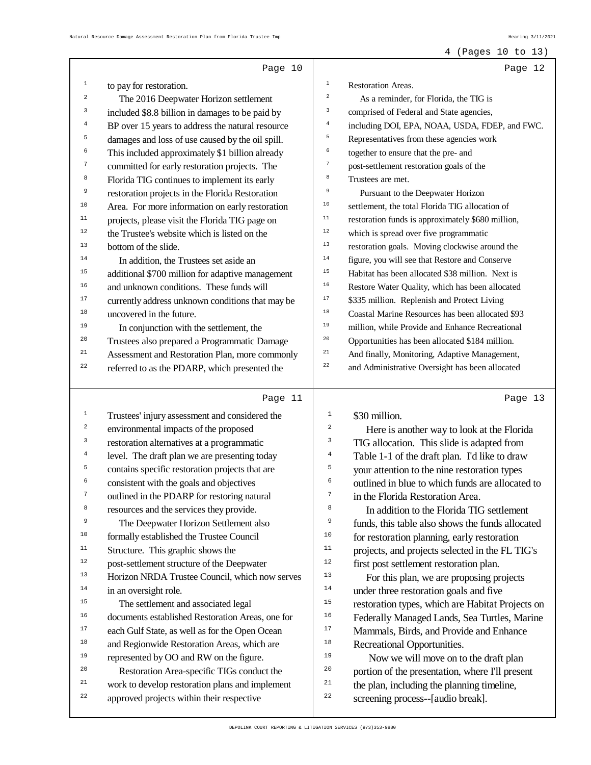## 4 (Pages 10 to 13)

|                         | Page 10                                          |                                                                                               | Page 12 |
|-------------------------|--------------------------------------------------|-----------------------------------------------------------------------------------------------|---------|
| 1                       | to pay for restoration.                          | $\mathbf 1$<br>Restoration Areas.                                                             |         |
| $\overline{\mathbf{c}}$ | The 2016 Deepwater Horizon settlement            | $\,2$<br>As a reminder, for Florida, the TIG is                                               |         |
| 3                       | included \$8.8 billion in damages to be paid by  | 3<br>comprised of Federal and State agencies,                                                 |         |
| 4                       | BP over 15 years to address the natural resource | $\bf{4}$<br>including DOI, EPA, NOAA, USDA, FDEP, and FWC.                                    |         |
| 5                       | damages and loss of use caused by the oil spill. | 5<br>Representatives from these agencies work                                                 |         |
| 6                       | This included approximately \$1 billion already  | 6<br>together to ensure that the pre- and                                                     |         |
| 7                       | committed for early restoration projects. The    | $\boldsymbol{7}$<br>post-settlement restoration goals of the                                  |         |
| 8                       | Florida TIG continues to implement its early     | 8<br>Trustees are met.                                                                        |         |
| 9                       | restoration projects in the Florida Restoration  | 9<br>Pursuant to the Deepwater Horizon                                                        |         |
| 10                      | Area. For more information on early restoration  | 10<br>settlement, the total Florida TIG allocation of                                         |         |
| $11\,$                  | projects, please visit the Florida TIG page on   | $1\,1$<br>restoration funds is approximately \$680 million,                                   |         |
| 12                      | the Trustee's website which is listed on the     | $1\,2$<br>which is spread over five programmatic                                              |         |
| 13                      | bottom of the slide.                             | $13$<br>restoration goals. Moving clockwise around the                                        |         |
| 14                      | In addition, the Trustees set aside an           | $14$<br>figure, you will see that Restore and Conserve                                        |         |
| 15                      | additional \$700 million for adaptive management | 15<br>Habitat has been allocated \$38 million. Next is                                        |         |
| 16                      | and unknown conditions. These funds will         | 16<br>Restore Water Quality, which has been allocated                                         |         |
| $17$                    | currently address unknown conditions that may be | $17$<br>\$335 million. Replenish and Protect Living                                           |         |
| 18                      | uncovered in the future.                         | 18<br>Coastal Marine Resources has been allocated \$93                                        |         |
| 19                      | In conjunction with the settlement, the          | 19<br>million, while Provide and Enhance Recreational                                         |         |
| 20                      | Trustees also prepared a Programmatic Damage     | $20\,$<br>Opportunities has been allocated \$184 million.                                     |         |
| 21                      | Assessment and Restoration Plan, more commonly   | 21<br>And finally, Monitoring, Adaptive Management,                                           |         |
| 22                      | referred to as the PDARP, which presented the    | $2\sqrt{2}$<br>and Administrative Oversight has been allocated                                |         |
|                         |                                                  |                                                                                               |         |
|                         | Page 11                                          |                                                                                               | Page 13 |
|                         |                                                  |                                                                                               |         |
| 1                       | Trustees' injury assessment and considered the   | $\mathbf{1}$<br>\$30 million.                                                                 |         |
| 2                       | environmental impacts of the proposed            | $\overline{\mathbf{c}}$                                                                       |         |
| 3                       | restoration alternatives at a programmatic       | Here is another way to look at the Florida<br>3<br>TIG allocation. This slide is adapted from |         |
| 4                       | level. The draft plan we are presenting today    | 4<br>Table 1-1 of the draft plan. I'd like to draw                                            |         |
| 5                       | contains specific restoration projects that are  | 5<br>your attention to the nine restoration types                                             |         |
| 6                       | consistent with the goals and objectives         | 6<br>outlined in blue to which funds are allocated to                                         |         |
| 7                       | outlined in the PDARP for restoring natural      | 7<br>in the Florida Restoration Area.                                                         |         |
| 8                       | resources and the services they provide.         | 8<br>In addition to the Florida TIG settlement                                                |         |
| 9                       | The Deepwater Horizon Settlement also            | 9<br>funds, this table also shows the funds allocated                                         |         |
| 10                      | formally established the Trustee Council         | 10<br>for restoration planning, early restoration                                             |         |
| $11$                    | Structure. This graphic shows the                | 11<br>projects, and projects selected in the FL TIG's                                         |         |
| $1\,2$                  | post-settlement structure of the Deepwater       | $1\,2$<br>first post settlement restoration plan.                                             |         |
| 13                      | Horizon NRDA Trustee Council, which now serves   | 13<br>For this plan, we are proposing projects                                                |         |
| $14\,$                  | in an oversight role.                            | 14<br>under three restoration goals and five                                                  |         |
| 15                      | The settlement and associated legal              | $15$<br>restoration types, which are Habitat Projects on                                      |         |
| 16                      | documents established Restoration Areas, one for | 16<br>Federally Managed Lands, Sea Turtles, Marine                                            |         |
| 17                      | each Gulf State, as well as for the Open Ocean   | $17$<br>Mammals, Birds, and Provide and Enhance                                               |         |
| 18                      | and Regionwide Restoration Areas, which are      | 18<br>Recreational Opportunities.                                                             |         |
| 19                      | represented by OO and RW on the figure.          | 19<br>Now we will move on to the draft plan                                                   |         |
| 20                      | Restoration Area-specific TIGs conduct the       | 20<br>portion of the presentation, where I'll present                                         |         |
| 21                      | work to develop restoration plans and implement  | 21<br>the plan, including the planning timeline,                                              |         |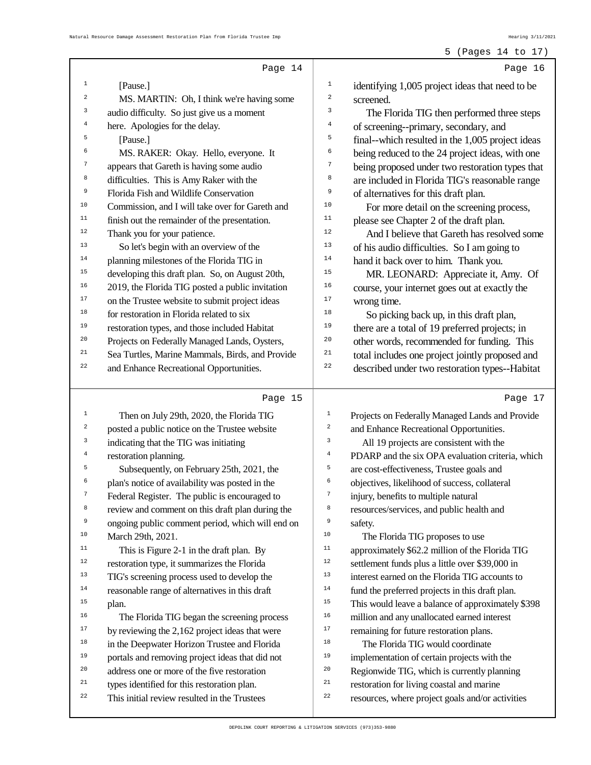|                         | Page 14                                                 |                | Page 16                                                                                              |
|-------------------------|---------------------------------------------------------|----------------|------------------------------------------------------------------------------------------------------|
| 1                       | [Pause.]                                                | $\mathbf{1}$   | identifying 1,005 project ideas that need to be                                                      |
| $\overline{\mathbf{c}}$ | MS. MARTIN: Oh, I think we're having some               | 2              | screened.                                                                                            |
| 3                       | audio difficulty. So just give us a moment              | 3              | The Florida TIG then performed three steps                                                           |
| 4                       | here. Apologies for the delay.                          | 4              | of screening--primary, secondary, and                                                                |
| 5                       | [Pause.]                                                | 5              | final--which resulted in the 1,005 project ideas                                                     |
| 6                       | MS. RAKER: Okay. Hello, everyone. It                    | 6              | being reduced to the 24 project ideas, with one                                                      |
| 7                       | appears that Gareth is having some audio                | $\overline{7}$ | being proposed under two restoration types that                                                      |
| 8                       | difficulties. This is Amy Raker with the                | 8              | are included in Florida TIG's reasonable range                                                       |
| 9                       | Florida Fish and Wildlife Conservation                  | 9              | of alternatives for this draft plan.                                                                 |
| $10$                    | Commission, and I will take over for Gareth and         | 10             | For more detail on the screening process,                                                            |
| 11                      | finish out the remainder of the presentation.           | 11             | please see Chapter 2 of the draft plan.                                                              |
| 12                      | Thank you for your patience.                            | 12             | And I believe that Gareth has resolved some                                                          |
| 13                      | So let's begin with an overview of the                  | 13             | of his audio difficulties. So I am going to                                                          |
| $14\,$                  | planning milestones of the Florida TIG in               | 14             | hand it back over to him. Thank you.                                                                 |
| 15                      | developing this draft plan. So, on August 20th,         | 15             | MR. LEONARD: Appreciate it, Amy. Of                                                                  |
| 16                      | 2019, the Florida TIG posted a public invitation        | 16             | course, your internet goes out at exactly the                                                        |
| 17                      | on the Trustee website to submit project ideas          | 17             | wrong time.                                                                                          |
| 18                      | for restoration in Florida related to six               | 18             | So picking back up, in this draft plan,                                                              |
| 19                      | restoration types, and those included Habitat           | 19             | there are a total of 19 preferred projects; in                                                       |
| 20                      | Projects on Federally Managed Lands, Oysters,           | 20             | other words, recommended for funding. This                                                           |
| 21                      | Sea Turtles, Marine Mammals, Birds, and Provide         | 21             | total includes one project jointly proposed and                                                      |
| 22                      | and Enhance Recreational Opportunities.                 | 22             | described under two restoration types--Habitat                                                       |
|                         |                                                         |                |                                                                                                      |
|                         | Page 15                                                 |                | Page 17                                                                                              |
| 1                       |                                                         | $\mathbf 1$    |                                                                                                      |
| 2                       | Then on July 29th, 2020, the Florida TIG                | $\overline{a}$ | Projects on Federally Managed Lands and Provide                                                      |
| 3                       | posted a public notice on the Trustee website           | 3              | and Enhance Recreational Opportunities.                                                              |
| $\bf{4}$                | indicating that the TIG was initiating                  | $\overline{4}$ | All 19 projects are consistent with the                                                              |
| 5                       | restoration planning.                                   | 5              | PDARP and the six OPA evaluation criteria, which                                                     |
| 6                       | Subsequently, on February 25th, 2021, the               | 6              | are cost-effectiveness, Trustee goals and                                                            |
|                         | plan's notice of availability was posted in the         | 7              | objectives, likelihood of success, collateral                                                        |
| 8                       | Federal Register. The public is encouraged to           | 8              | injury, benefits to multiple natural                                                                 |
| 9                       | review and comment on this draft plan during the        | 9              | resources/services, and public health and                                                            |
| $10\,$                  | ongoing public comment period, which will end on        | 10             | safety.                                                                                              |
| $11\,$                  | March 29th, 2021.                                       | 11             | The Florida TIG proposes to use                                                                      |
| 12                      | This is Figure 2-1 in the draft plan. By                | 12             | approximately \$62.2 million of the Florida TIG                                                      |
| 13                      | restoration type, it summarizes the Florida             | 13             | settlement funds plus a little over \$39,000 in<br>interest earned on the Florida TIG accounts to    |
| $14\,$                  | TIG's screening process used to develop the             | 14             |                                                                                                      |
| 15                      | reasonable range of alternatives in this draft<br>plan. | 15             | fund the preferred projects in this draft plan.<br>This would leave a balance of approximately \$398 |
| 16                      | The Florida TIG began the screening process             | 16             | million and any unallocated earned interest                                                          |
| 17                      | by reviewing the 2,162 project ideas that were          | 17             | remaining for future restoration plans.                                                              |
| $18\,$                  | in the Deepwater Horizon Trustee and Florida            | $18\,$         | The Florida TIG would coordinate                                                                     |
| 19                      | portals and removing project ideas that did not         | 19             | implementation of certain projects with the                                                          |
| 20                      | address one or more of the five restoration             | $20\,$         | Regionwide TIG, which is currently planning                                                          |
| 21                      | types identified for this restoration plan.             | 21             | restoration for living coastal and marine                                                            |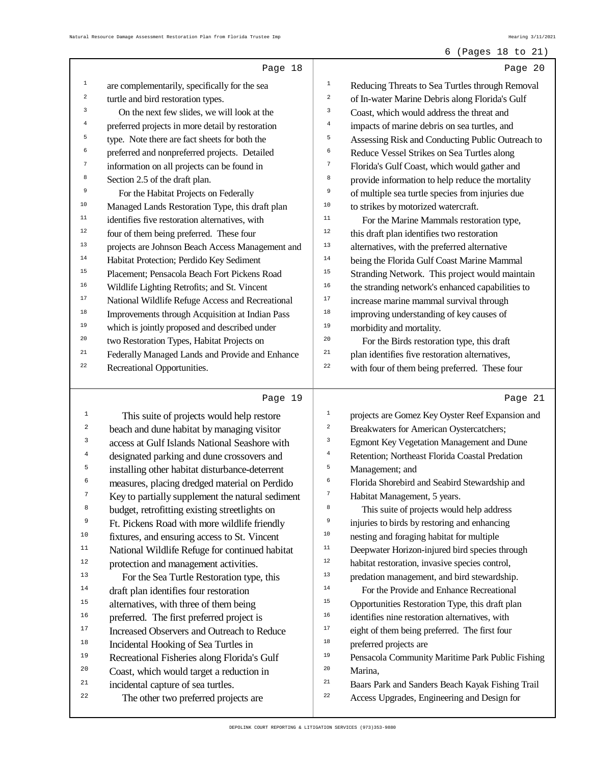#### 6 (Pages 18 to 21)

|                         | Page 18                                                                    |                     | Page 20                                                                                         |
|-------------------------|----------------------------------------------------------------------------|---------------------|-------------------------------------------------------------------------------------------------|
| $\mathbf{1}$            | are complementarily, specifically for the sea                              | $\verb 1 $          | Reducing Threats to Sea Turtles through Removal                                                 |
| $\mathbf 2$             | turtle and bird restoration types.                                         | $\boldsymbol{2}$    | of In-water Marine Debris along Florida's Gulf                                                  |
| 3                       | On the next few slides, we will look at the                                | 3                   | Coast, which would address the threat and                                                       |
| $\bf 4$                 | preferred projects in more detail by restoration                           | $\bf{4}$            | impacts of marine debris on sea turtles, and                                                    |
| 5                       | type. Note there are fact sheets for both the                              | 5                   | Assessing Risk and Conducting Public Outreach to                                                |
| 6                       | preferred and nonpreferred projects. Detailed                              | 6                   | Reduce Vessel Strikes on Sea Turtles along                                                      |
| 7                       | information on all projects can be found in                                | $\boldsymbol{7}$    | Florida's Gulf Coast, which would gather and                                                    |
| 8                       | Section 2.5 of the draft plan.                                             | $\,$ 8 $\,$         | provide information to help reduce the mortality                                                |
| 9                       | For the Habitat Projects on Federally                                      | 9                   | of multiple sea turtle species from injuries due                                                |
| $10$                    | Managed Lands Restoration Type, this draft plan                            | $10\,$              | to strikes by motorized watercraft.                                                             |
| $11\,$                  | identifies five restoration alternatives, with                             | 11                  | For the Marine Mammals restoration type,                                                        |
| 12                      | four of them being preferred. These four                                   | 12                  | this draft plan identifies two restoration                                                      |
| 13                      | projects are Johnson Beach Access Management and                           | 13                  | alternatives, with the preferred alternative                                                    |
| $14\,$                  | Habitat Protection; Perdido Key Sediment                                   | $14\,$              | being the Florida Gulf Coast Marine Mammal                                                      |
| 15                      | Placement; Pensacola Beach Fort Pickens Road                               | 15                  | Stranding Network. This project would maintain                                                  |
| 16                      | Wildlife Lighting Retrofits; and St. Vincent                               | 16                  | the stranding network's enhanced capabilities to                                                |
| $17\,$                  | National Wildlife Refuge Access and Recreational                           | $17\,$              | increase marine mammal survival through                                                         |
| $18\,$                  | Improvements through Acquisition at Indian Pass                            | $18\,$              | improving understanding of key causes of                                                        |
| 19                      | which is jointly proposed and described under                              | 19                  | morbidity and mortality.                                                                        |
| 20                      | two Restoration Types, Habitat Projects on                                 | $20\,$              | For the Birds restoration type, this draft                                                      |
| 21                      | Federally Managed Lands and Provide and Enhance                            | 21                  | plan identifies five restoration alternatives,                                                  |
| 22                      | Recreational Opportunities.                                                | 22                  | with four of them being preferred. These four                                                   |
|                         |                                                                            |                     |                                                                                                 |
|                         |                                                                            |                     |                                                                                                 |
|                         | Page 19                                                                    |                     | Page 21                                                                                         |
| $\mathbf{1}$            | This suite of projects would help restore                                  | $\mathbf 1$         | projects are Gomez Key Oyster Reef Expansion and                                                |
| 2                       | beach and dune habitat by managing visitor                                 | $\,2$               | Breakwaters for American Oystercatchers;                                                        |
| 3                       | access at Gulf Islands National Seashore with                              | 3                   | Egmont Key Vegetation Management and Dune                                                       |
| $\overline{\mathbf{4}}$ | designated parking and dune crossovers and                                 | $\overline{4}$      | Retention; Northeast Florida Coastal Predation                                                  |
| 5                       | installing other habitat disturbance-deterrent                             | 5                   | Management; and                                                                                 |
| 6                       | measures, placing dredged material on Perdido                              | 6<br>$\overline{ }$ | Florida Shorebird and Seabird Stewardship and                                                   |
|                         | Key to partially supplement the natural sediment                           |                     | Habitat Management, 5 years.                                                                    |
| 8                       | budget, retrofitting existing streetlights on                              | 8                   | This suite of projects would help address                                                       |
| 9                       | Ft. Pickens Road with more wildlife friendly                               | 9                   | injuries to birds by restoring and enhancing                                                    |
| $10$                    | fixtures, and ensuring access to St. Vincent                               | $10$                | nesting and foraging habitat for multiple                                                       |
| 11                      | National Wildlife Refuge for continued habitat                             | 11                  | Deepwater Horizon-injured bird species through                                                  |
| 12                      | protection and management activities.                                      | $12\,$              | habitat restoration, invasive species control,                                                  |
| 13                      | For the Sea Turtle Restoration type, this                                  | 13<br>$14\,$        | predation management, and bird stewardship.                                                     |
| $1\,4$                  | draft plan identifies four restoration                                     | 15                  | For the Provide and Enhance Recreational                                                        |
| 15<br>16                | alternatives, with three of them being                                     | 16                  | Opportunities Restoration Type, this draft plan                                                 |
| 17                      | preferred. The first preferred project is                                  | $17\,$              | identifies nine restoration alternatives, with                                                  |
| $1\,8$                  | Increased Observers and Outreach to Reduce                                 | 18                  | eight of them being preferred. The first four                                                   |
| 19                      | Incidental Hooking of Sea Turtles in                                       | 19                  | preferred projects are                                                                          |
| 20                      | Recreational Fisheries along Florida's Gulf                                | $20\,$              | Pensacola Community Maritime Park Public Fishing                                                |
| 21                      | Coast, which would target a reduction in                                   | 21                  | Marina,                                                                                         |
| 22                      | incidental capture of sea turtles.<br>The other two preferred projects are | 22                  | Baars Park and Sanders Beach Kayak Fishing Trail<br>Access Upgrades, Engineering and Design for |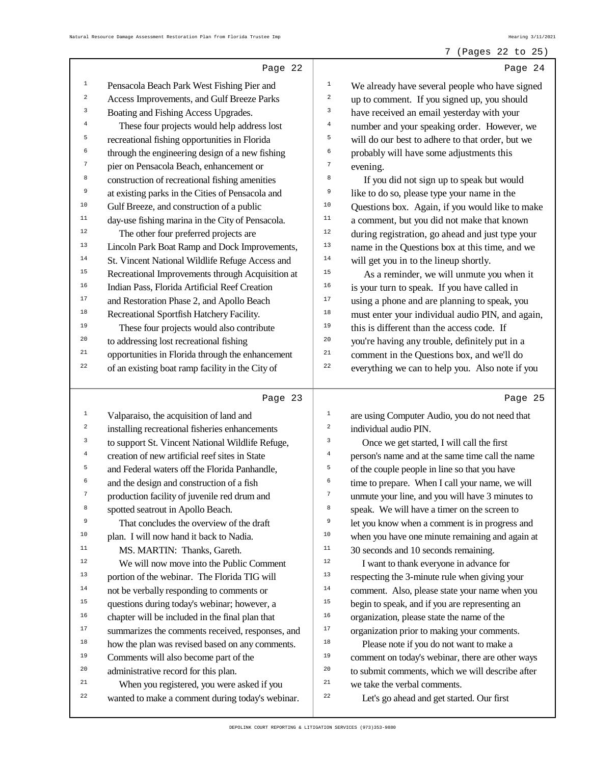#### 7 (Pages 22 to 25)

|                  | Page 22                                                                                        |                  | Page 24                                                                   |
|------------------|------------------------------------------------------------------------------------------------|------------------|---------------------------------------------------------------------------|
| $\mathbf 1$      | Pensacola Beach Park West Fishing Pier and                                                     | $\mathbf 1$      | We already have several people who have signed                            |
| $\,2$            | Access Improvements, and Gulf Breeze Parks                                                     | 2                | up to comment. If you signed up, you should                               |
| 3                | Boating and Fishing Access Upgrades.                                                           | 3                | have received an email yesterday with your                                |
| $\bf{4}$         | These four projects would help address lost                                                    | $\overline{4}$   | number and your speaking order. However, we                               |
| 5                | recreational fishing opportunities in Florida                                                  | 5                | will do our best to adhere to that order, but we                          |
| 6                | through the engineering design of a new fishing                                                | 6                | probably will have some adjustments this                                  |
| 7                | pier on Pensacola Beach, enhancement or                                                        | $\boldsymbol{7}$ | evening.                                                                  |
| 8                | construction of recreational fishing amenities                                                 | 8                | If you did not sign up to speak but would                                 |
| 9                | at existing parks in the Cities of Pensacola and                                               | 9                | like to do so, please type your name in the                               |
| 10               | Gulf Breeze, and construction of a public                                                      | 10               | Questions box. Again, if you would like to make                           |
| $11\,$           | day-use fishing marina in the City of Pensacola.                                               | 11               | a comment, but you did not make that known                                |
| 12               | The other four preferred projects are                                                          | 12               | during registration, go ahead and just type your                          |
| 13               | Lincoln Park Boat Ramp and Dock Improvements,                                                  | 13               | name in the Questions box at this time, and we                            |
| $14\,$           | St. Vincent National Wildlife Refuge Access and                                                | 14               | will get you in to the lineup shortly.                                    |
| 15               | Recreational Improvements through Acquisition at                                               | 15               | As a reminder, we will unmute you when it                                 |
| 16               | Indian Pass, Florida Artificial Reef Creation                                                  | 16               | is your turn to speak. If you have called in                              |
| 17               | and Restoration Phase 2, and Apollo Beach                                                      | $17\,$           | using a phone and are planning to speak, you                              |
| 18               | Recreational Sportfish Hatchery Facility.                                                      | 18               | must enter your individual audio PIN, and again,                          |
| 19               | These four projects would also contribute                                                      | 19               | this is different than the access code. If                                |
| 20               | to addressing lost recreational fishing                                                        | 20               | you're having any trouble, definitely put in a                            |
| 21               | opportunities in Florida through the enhancement                                               | 21               | comment in the Questions box, and we'll do                                |
| 22               | of an existing boat ramp facility in the City of                                               | 22               | everything we can to help you. Also note if you                           |
|                  |                                                                                                |                  |                                                                           |
|                  |                                                                                                |                  |                                                                           |
|                  | Page 23                                                                                        |                  | Page 25                                                                   |
| $\mathtt 1$      | Valparaiso, the acquisition of land and                                                        | $1\,$            | are using Computer Audio, you do not need that                            |
| $\boldsymbol{2}$ | installing recreational fisheries enhancements                                                 | $\boldsymbol{2}$ | individual audio PIN.                                                     |
| 3                | to support St. Vincent National Wildlife Refuge,                                               | 3                | Once we get started, I will call the first                                |
| $\bf{4}$         | creation of new artificial reef sites in State                                                 | $\bf{4}$         | person's name and at the same time call the name                          |
| 5                | and Federal waters off the Florida Panhandle,                                                  | 5                | of the couple people in line so that you have                             |
| 6                | and the design and construction of a fish                                                      | 6                | time to prepare. When I call your name, we will                           |
| 7                | production facility of juvenile red drum and                                                   | 7                | unmute your line, and you will have 3 minutes to                          |
| 8                | spotted seatrout in Apollo Beach.                                                              | 8                | speak. We will have a timer on the screen to                              |
| 9                | That concludes the overview of the draft                                                       | 9                | let you know when a comment is in progress and                            |
| 10               | plan. I will now hand it back to Nadia.                                                        | $10$             | when you have one minute remaining and again at                           |
| 11               | MS. MARTIN: Thanks, Gareth.                                                                    | 11               | 30 seconds and 10 seconds remaining.                                      |
| $1\,2$           | We will now move into the Public Comment                                                       | $12$             | I want to thank everyone in advance for                                   |
| 13               | portion of the webinar. The Florida TIG will                                                   | 13               | respecting the 3-minute rule when giving your                             |
| $14\,$           | not be verbally responding to comments or                                                      | $14$             | comment. Also, please state your name when you                            |
| 15               | questions during today's webinar; however, a                                                   | 15               | begin to speak, and if you are representing an                            |
| 16               | chapter will be included in the final plan that                                                | 16               | organization, please state the name of the                                |
| 17               | summarizes the comments received, responses, and                                               | 17               | organization prior to making your comments.                               |
| $1\,8$           | how the plan was revised based on any comments.                                                | 18               | Please note if you do not want to make a                                  |
| 19               | Comments will also become part of the                                                          | 19               | comment on today's webinar, there are other ways                          |
| 20               | administrative record for this plan.                                                           | 20               | to submit comments, which we will describe after                          |
| 21<br>22         | When you registered, you were asked if you<br>wanted to make a comment during today's webinar. | 21<br>22         | we take the verbal comments.<br>Let's go ahead and get started. Our first |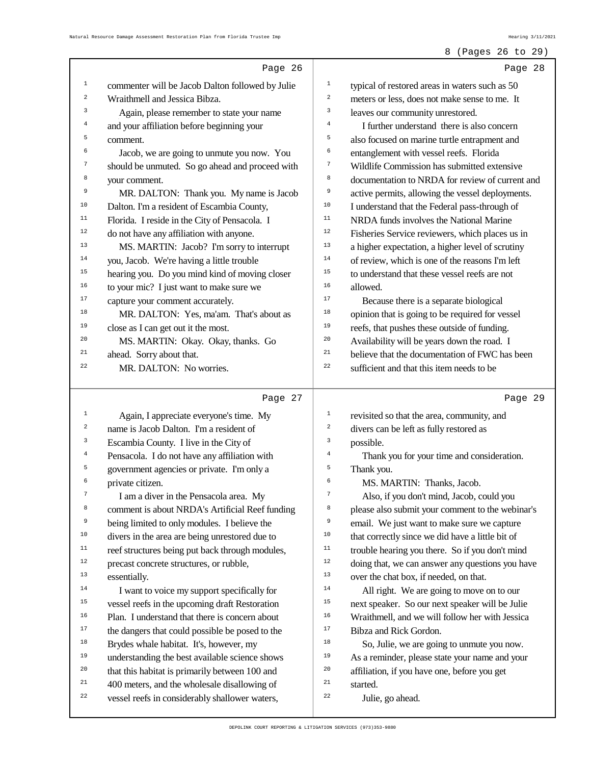8 (Pages 26 to 29)

#### Page 26 1 commenter will be Jacob Dalton followed by Julie <sup>2</sup> Wraithmell and Jessica Bibza. 3 Again, please remember to state your name 4 and your affiliation before beginning your  $\epsilon$ comment. 6 Jacob, we are going to unmute you now. You 7 should be unmuted. So go ahead and proceed with <sup>8</sup> your comment. 9 MR. DALTON: Thank you. My name is Jacob <sup>10</sup> Dalton. I'm a resident of Escambia County, <sup>11</sup> Florida. I reside in the City of Pensacola. I <sup>12</sup> do not have any affiliation with anyone. <sup>13</sup> MS. MARTIN: Jacob? I'm sorry to interrupt <sup>14</sup> you, Jacob. We're having a little trouble <sup>15</sup> hearing you. Do you mind kind of moving closer  $16$  to your mic? I just want to make sure we <sup>17</sup> capture your comment accurately. <sup>18</sup> MR. DALTON: Yes, ma'am. That's about as <sup>19</sup> close as I can get out it the most. <sup>20</sup> MS. MARTIN: Okay. Okay, thanks. Go <sup>21</sup> ahead. Sorry about that. <sup>22</sup> MR. DALTON: No worries. Page 27 1 Again, I appreciate everyone's time. My <sup>2</sup> name is Jacob Dalton. I'm a resident of <sup>3</sup> Escambia County. I live in the City of <sup>4</sup> Pensacola. I do not have any affiliation with <sup>5</sup> government agencies or private. I'm only a <sup>6</sup> private citizen. 7 I am a diver in the Pensacola area. My 8 comment is about NRDA's Artificial Reef funding <sup>9</sup> being limited to only modules. I believe the <sup>10</sup> divers in the area are being unrestored due to <sup>11</sup> reef structures being put back through modules, <sup>12</sup> precast concrete structures, or rubble, <sup>13</sup> essentially. <sup>14</sup> I want to voice my support specifically for <sup>15</sup> vessel reefs in the upcoming draft Restoration <sup>16</sup> Plan. I understand that there is concern about <sup>17</sup> the dangers that could possible be posed to the <sup>18</sup> Brydes whale habitat. It's, however, my <sup>19</sup> understanding the best available science shows <sup>20</sup> that this habitat is primarily between 100 and <sup>21</sup> 400 meters, and the wholesale disallowing of <sup>22</sup> vessel reefs in considerably shallower waters, Page 28 1 typical of restored areas in waters such as 50 <sup>2</sup> meters or less, does not make sense to me. It 3 leaves our community unrestored. 4 I further understand there is also concern 5 also focused on marine turtle entrapment and 6 entanglement with vessel reefs. Florida <sup>7</sup> Wildlife Commission has submitted extensive <sup>8</sup> documentation to NRDA for review of current and 9 active permits, allowing the vessel deployments. <sup>10</sup> I understand that the Federal pass-through of <sup>11</sup> NRDA funds involves the National Marine <sup>12</sup> Fisheries Service reviewers, which places us in <sup>13</sup> a higher expectation, a higher level of scrutiny  $14$  of review, which is one of the reasons I'm left <sup>15</sup> to understand that these vessel reefs are not <sup>16</sup> allowed. <sup>17</sup> Because there is a separate biological <sup>18</sup> opinion that is going to be required for vessel <sup>19</sup> reefs, that pushes these outside of funding. <sup>20</sup> Availability will be years down the road. I  $21$  believe that the documentation of FWC has been <sup>22</sup> sufficient and that this item needs to be Page 29 1 revisited so that the area, community, and <sup>2</sup> divers can be left as fully restored as <sup>3</sup> possible. 4 Thank you for your time and consideration. <sup>5</sup> Thank you. 6 MS. MARTIN: Thanks, Jacob. 7 Also, if you don't mind, Jacob, could you <sup>8</sup> please also submit your comment to the webinar's 9 email. We just want to make sure we capture <sup>10</sup> that correctly since we did have a little bit of <sup>11</sup> trouble hearing you there. So if you don't mind <sup>12</sup> doing that, we can answer any questions you have <sup>13</sup> over the chat box, if needed, on that. <sup>14</sup> All right. We are going to move on to our <sup>15</sup> next speaker. So our next speaker will be Julie <sup>16</sup> Wraithmell, and we will follow her with Jessica <sup>17</sup> Bibza and Rick Gordon. <sup>18</sup> So, Julie, we are going to unmute you now. <sup>19</sup> As a reminder, please state your name and your <sup>20</sup> affiliation, if you have one, before you get <sup>21</sup> started. 22 Julie, go ahead.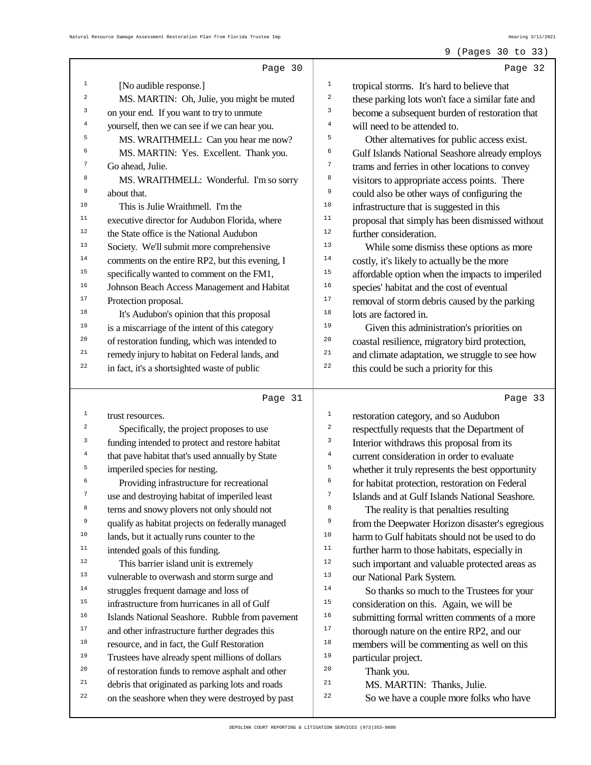### 9 (Pages 30 to 33)

|          | Page 30                                                                                              | Page 32                                                                           |  |
|----------|------------------------------------------------------------------------------------------------------|-----------------------------------------------------------------------------------|--|
| 1        | [No audible response.]                                                                               | $\mathbf{1}$<br>tropical storms. It's hard to believe that                        |  |
| 2        | MS. MARTIN: Oh, Julie, you might be muted                                                            | $\sqrt{2}$<br>these parking lots won't face a similar fate and                    |  |
| 3        | on your end. If you want to try to unmute                                                            | 3<br>become a subsequent burden of restoration that                               |  |
| 4        | yourself, then we can see if we can hear you.                                                        | 4<br>will need to be attended to.                                                 |  |
| 5        | MS. WRAITHMELL: Can you hear me now?                                                                 | 5<br>Other alternatives for public access exist.                                  |  |
| 6        | MS. MARTIN: Yes. Excellent. Thank you.                                                               | 6<br>Gulf Islands National Seashore already employs                               |  |
| 7        | Go ahead, Julie.                                                                                     | $\boldsymbol{7}$<br>trams and ferries in other locations to convey                |  |
| 8        | MS. WRAITHMELL: Wonderful. I'm so sorry                                                              | 8<br>visitors to appropriate access points. There                                 |  |
| 9        | about that.                                                                                          | 9<br>could also be other ways of configuring the                                  |  |
| 10       | This is Julie Wraithmell. I'm the                                                                    | 10<br>infrastructure that is suggested in this                                    |  |
| $11\,$   | executive director for Audubon Florida, where                                                        | 11<br>proposal that simply has been dismissed without                             |  |
| 12       | the State office is the National Audubon                                                             | 12<br>further consideration.                                                      |  |
| 13       |                                                                                                      | 13                                                                                |  |
| 14       | Society. We'll submit more comprehensive                                                             | While some dismiss these options as more<br>14                                    |  |
| 15       | comments on the entire RP2, but this evening, I                                                      | costly, it's likely to actually be the more<br>15                                 |  |
| 16       | specifically wanted to comment on the FM1,                                                           | affordable option when the impacts to imperiled<br>16                             |  |
|          | Johnson Beach Access Management and Habitat                                                          | species' habitat and the cost of eventual                                         |  |
| 17       | Protection proposal.                                                                                 | 17<br>removal of storm debris caused by the parking                               |  |
| 18       | It's Audubon's opinion that this proposal                                                            | 18<br>lots are factored in.                                                       |  |
| 19       | is a miscarriage of the intent of this category                                                      | 19<br>Given this administration's priorities on                                   |  |
| 20       | of restoration funding, which was intended to                                                        | 20<br>coastal resilience, migratory bird protection,                              |  |
| 21       | remedy injury to habitat on Federal lands, and                                                       | 21<br>and climate adaptation, we struggle to see how                              |  |
| 22       | in fact, it's a shortsighted waste of public                                                         | 22<br>this could be such a priority for this                                      |  |
|          |                                                                                                      |                                                                                   |  |
|          |                                                                                                      |                                                                                   |  |
| 1        | Page 31                                                                                              | Page 33<br>$\mathbf 1$                                                            |  |
| 2        | trust resources.                                                                                     | restoration category, and so Audubon<br>$\sqrt{2}$                                |  |
| 3        | Specifically, the project proposes to use                                                            | respectfully requests that the Department of<br>3                                 |  |
| 4        | funding intended to protect and restore habitat                                                      | Interior withdraws this proposal from its<br>$\bf{4}$                             |  |
| 5        | that pave habitat that's used annually by State                                                      | current consideration in order to evaluate<br>5                                   |  |
| 6        | imperiled species for nesting.                                                                       | whether it truly represents the best opportunity<br>6                             |  |
|          | Providing infrastructure for recreational                                                            | for habitat protection, restoration on Federal                                    |  |
|          | use and destroying habitat of imperiled least                                                        | 7<br>Islands and at Gulf Islands National Seashore.                               |  |
| 8        | terns and snowy plovers not only should not                                                          | 8<br>The reality is that penalties resulting                                      |  |
| 9        | qualify as habitat projects on federally managed                                                     | 9<br>from the Deepwater Horizon disaster's egregious                              |  |
| $10$     | lands, but it actually runs counter to the                                                           | $10$<br>harm to Gulf habitats should not be used to do                            |  |
| $11\,$   | intended goals of this funding.                                                                      | 11<br>further harm to those habitats, especially in                               |  |
| 12       | This barrier island unit is extremely                                                                | 12<br>such important and valuable protected areas as                              |  |
| 13       | vulnerable to overwash and storm surge and                                                           | 13<br>our National Park System.                                                   |  |
| $14$     | struggles frequent damage and loss of                                                                | 14<br>So thanks so much to the Trustees for your                                  |  |
| 15       | infrastructure from hurricanes in all of Gulf                                                        | 15<br>consideration on this. Again, we will be                                    |  |
| 16       | Islands National Seashore. Rubble from pavement                                                      | 16<br>submitting formal written comments of a more                                |  |
| $17$     | and other infrastructure further degrades this                                                       | 17<br>thorough nature on the entire RP2, and our                                  |  |
| 18       | resource, and in fact, the Gulf Restoration                                                          | 18<br>members will be commenting as well on this                                  |  |
| 19       | Trustees have already spent millions of dollars                                                      | 19<br>particular project.                                                         |  |
| 20       | of restoration funds to remove asphalt and other                                                     | 20<br>Thank you.                                                                  |  |
| 21<br>22 | debris that originated as parking lots and roads<br>on the seashore when they were destroyed by past | 21<br>MS. MARTIN: Thanks, Julie.<br>22<br>So we have a couple more folks who have |  |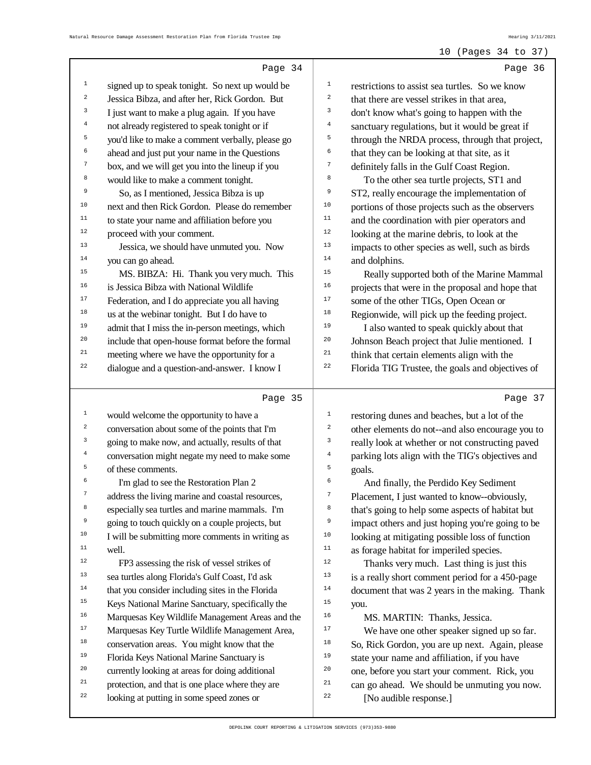#### 10 (Pages 34 to 37)

|                  | Page 34                                                                                       |                | Page 36                                                                |
|------------------|-----------------------------------------------------------------------------------------------|----------------|------------------------------------------------------------------------|
| $1\,$            | signed up to speak tonight. So next up would be                                               | $\mathbf{1}$   | restrictions to assist sea turtles. So we know                         |
| $\mathbf 2$      | Jessica Bibza, and after her, Rick Gordon. But                                                | 2              | that there are vessel strikes in that area,                            |
| 3                | I just want to make a plug again. If you have                                                 | 3              | don't know what's going to happen with the                             |
| $\bf 4$          | not already registered to speak tonight or if                                                 | $\overline{4}$ | sanctuary regulations, but it would be great if                        |
| 5                | you'd like to make a comment verbally, please go                                              | 5              | through the NRDA process, through that project,                        |
| 6                | ahead and just put your name in the Questions                                                 | 6              | that they can be looking at that site, as it                           |
| 7                | box, and we will get you into the lineup if you                                               | $\sqrt{ }$     | definitely falls in the Gulf Coast Region.                             |
| 8                | would like to make a comment tonight.                                                         | 8              | To the other sea turtle projects, ST1 and                              |
| 9                | So, as I mentioned, Jessica Bibza is up                                                       | 9              | ST2, really encourage the implementation of                            |
| $10$             | next and then Rick Gordon. Please do remember                                                 | 10             | portions of those projects such as the observers                       |
| 11               | to state your name and affiliation before you                                                 | 11             | and the coordination with pier operators and                           |
| 12               | proceed with your comment.                                                                    | 12             | looking at the marine debris, to look at the                           |
| 13               | Jessica, we should have unmuted you. Now                                                      | 13             | impacts to other species as well, such as birds                        |
| $14$             | you can go ahead.                                                                             | $14\,$         | and dolphins.                                                          |
| 15               | MS. BIBZA: Hi. Thank you very much. This                                                      | 15             | Really supported both of the Marine Mammal                             |
| 16               | is Jessica Bibza with National Wildlife                                                       | 16             | projects that were in the proposal and hope that                       |
| $17$             | Federation, and I do appreciate you all having                                                | $17$           | some of the other TIGs, Open Ocean or                                  |
| 18               | us at the webinar tonight. But I do have to                                                   | 18             | Regionwide, will pick up the feeding project.                          |
| 19               | admit that I miss the in-person meetings, which                                               | 19             | I also wanted to speak quickly about that                              |
| 20               | include that open-house format before the formal                                              | 20             | Johnson Beach project that Julie mentioned. I                          |
| 21               | meeting where we have the opportunity for a                                                   | 21             | think that certain elements align with the                             |
| 22               | dialogue and a question-and-answer. I know I                                                  | 22             | Florida TIG Trustee, the goals and objectives of                       |
|                  |                                                                                               |                |                                                                        |
|                  |                                                                                               |                |                                                                        |
|                  | Page 35                                                                                       |                | Page 37                                                                |
| $\mathbf{1}$     | would welcome the opportunity to have a                                                       | $\mathbf 1$    | restoring dunes and beaches, but a lot of the                          |
| $\boldsymbol{2}$ | conversation about some of the points that I'm                                                | 2              | other elements do not--and also encourage you to                       |
| 3                | going to make now, and actually, results of that                                              | 3              | really look at whether or not constructing paved                       |
| $\overline{4}$   | conversation might negate my need to make some                                                | $\overline{4}$ | parking lots align with the TIG's objectives and                       |
| 5                | of these comments.                                                                            | 5              | goals.                                                                 |
| 6                | I'm glad to see the Restoration Plan 2                                                        | 6              | And finally, the Perdido Key Sediment                                  |
|                  | address the living marine and coastal resources,                                              |                | Placement, I just wanted to know--obviously,                           |
| 8                | especially sea turtles and marine mammals. I'm                                                | 8              | that's going to help some aspects of habitat but                       |
| 9                | going to touch quickly on a couple projects, but                                              | 9              | impact others and just hoping you're going to be                       |
| 10               | I will be submitting more comments in writing as                                              | 10             | looking at mitigating possible loss of function                        |
| 11               | well.                                                                                         | $11$           | as forage habitat for imperiled species.                               |
| 12               | FP3 assessing the risk of vessel strikes of                                                   | 12             | Thanks very much. Last thing is just this                              |
| 13               | sea turtles along Florida's Gulf Coast, I'd ask                                               | 13             | is a really short comment period for a 450-page                        |
| 14               | that you consider including sites in the Florida                                              | 14             | document that was 2 years in the making. Thank                         |
| 15               | Keys National Marine Sanctuary, specifically the                                              | 15             | you.                                                                   |
| 16               | Marquesas Key Wildlife Management Areas and the                                               | 16             | MS. MARTIN: Thanks, Jessica.                                           |
| $17\,$           | Marquesas Key Turtle Wildlife Management Area,                                                | $17\,$         | We have one other speaker signed up so far.                            |
| 18               | conservation areas. You might know that the                                                   | 18             | So, Rick Gordon, you are up next. Again, please                        |
| 19               | Florida Keys National Marine Sanctuary is                                                     | 19             | state your name and affiliation, if you have                           |
| 20               | currently looking at areas for doing additional                                               | 20             | one, before you start your comment. Rick, you                          |
| $21\,$<br>22     | protection, and that is one place where they are<br>looking at putting in some speed zones or | 21<br>22       | can go ahead. We should be unmuting you now.<br>[No audible response.] |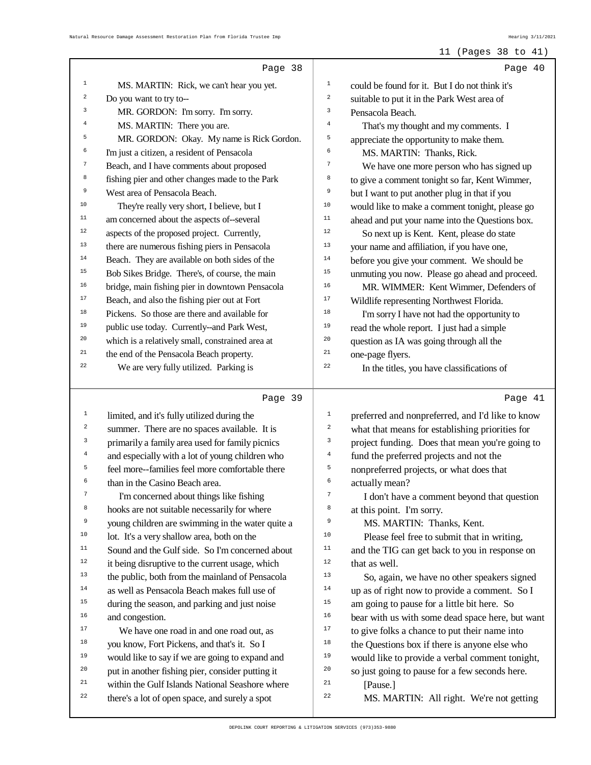11 (Pages 38 to 41)

#### Page 38 1 MS. MARTIN: Rick, we can't hear you yet. <sup>2</sup> Do you want to try to-- 3 MR. GORDON: I'm sorry. I'm sorry. 4 MS. MARTIN: There you are. 5 MR. GORDON: Okay. My name is Rick Gordon. 6 I'm just a citizen, a resident of Pensacola <sup>7</sup> Beach, and I have comments about proposed 8 fishing pier and other changes made to the Park <sup>9</sup> West area of Pensacola Beach. <sup>10</sup> They're really very short, I believe, but I <sup>11</sup> am concerned about the aspects of--several <sup>12</sup> aspects of the proposed project. Currently, <sup>13</sup> there are numerous fishing piers in Pensacola <sup>14</sup> Beach. They are available on both sides of the <sup>15</sup> Bob Sikes Bridge. There's, of course, the main <sup>16</sup> bridge, main fishing pier in downtown Pensacola <sup>17</sup> Beach, and also the fishing pier out at Fort <sup>18</sup> Pickens. So those are there and available for <sup>19</sup> public use today. Currently--and Park West, <sup>20</sup> which is a relatively small, constrained area at <sup>21</sup> the end of the Pensacola Beach property. <sup>22</sup> We are very fully utilized. Parking is Page 39 1 limited, and it's fully utilized during the 2 summer. There are no spaces available. It is <sup>3</sup> primarily a family area used for family picnics 4 and especially with a lot of young children who 5 feel more--families feel more comfortable there 6 than in the Casino Beach area. 7 I'm concerned about things like fishing <sup>8</sup> hooks are not suitable necessarily for where <sup>9</sup> young children are swimming in the water quite a <sup>10</sup> lot. It's a very shallow area, both on the <sup>11</sup> Sound and the Gulf side. So I'm concerned about <sup>12</sup> it being disruptive to the current usage, which <sup>13</sup> the public, both from the mainland of Pensacola <sup>14</sup> as well as Pensacola Beach makes full use of <sup>15</sup> during the season, and parking and just noise <sup>16</sup> and congestion. <sup>17</sup> We have one road in and one road out, as <sup>18</sup> you know, Fort Pickens, and that's it. So I <sup>19</sup> would like to say if we are going to expand and <sup>20</sup> put in another fishing pier, consider putting it <sup>21</sup> within the Gulf Islands National Seashore where <sup>22</sup> there's a lot of open space, and surely a spot Page 40 1 could be found for it. But I do not think it's 2 suitable to put it in the Park West area of <sup>3</sup> Pensacola Beach. 4 That's my thought and my comments. I 5 appreciate the opportunity to make them. 6 MS. MARTIN: Thanks, Rick. 7 We have one more person who has signed up 8 to give a comment tonight so far, Kent Wimmer, <sup>9</sup> but I want to put another plug in that if you <sup>10</sup> would like to make a comment tonight, please go <sup>11</sup> ahead and put your name into the Questions box. <sup>12</sup> So next up is Kent. Kent, please do state <sup>13</sup> your name and affiliation, if you have one, <sup>14</sup> before you give your comment. We should be <sup>15</sup> unmuting you now. Please go ahead and proceed. <sup>16</sup> MR. WIMMER: Kent Wimmer, Defenders of <sup>17</sup> Wildlife representing Northwest Florida. <sup>18</sup> I'm sorry I have not had the opportunity to <sup>19</sup> read the whole report. I just had a simple <sup>20</sup> question as IA was going through all the <sup>21</sup> one-page flyers. <sup>22</sup> In the titles, you have classifications of Page 41 <sup>1</sup> preferred and nonpreferred, and I'd like to know <sup>2</sup> what that means for establishing priorities for <sup>3</sup> project funding. Does that mean you're going to 4 fund the preferred projects and not the <sup>5</sup> nonpreferred projects, or what does that 6 actually mean? 7 I don't have a comment beyond that question 8 at this point. I'm sorry. 9 MS. MARTIN: Thanks, Kent. <sup>10</sup> Please feel free to submit that in writing, <sup>11</sup> and the TIG can get back to you in response on <sup>12</sup> that as well.<br><sup>13</sup> So again So, again, we have no other speakers signed <sup>14</sup> up as of right now to provide a comment. So I <sup>15</sup> am going to pause for a little bit here. So <sup>16</sup> bear with us with some dead space here, but want <sup>17</sup> to give folks a chance to put their name into  $18$  the Questions box if there is anyone else who <sup>19</sup> would like to provide a verbal comment tonight, <sup>20</sup> so just going to pause for a few seconds here.  $^{21}$  [Pause.] <sup>22</sup> MS. MARTIN: All right. We're not getting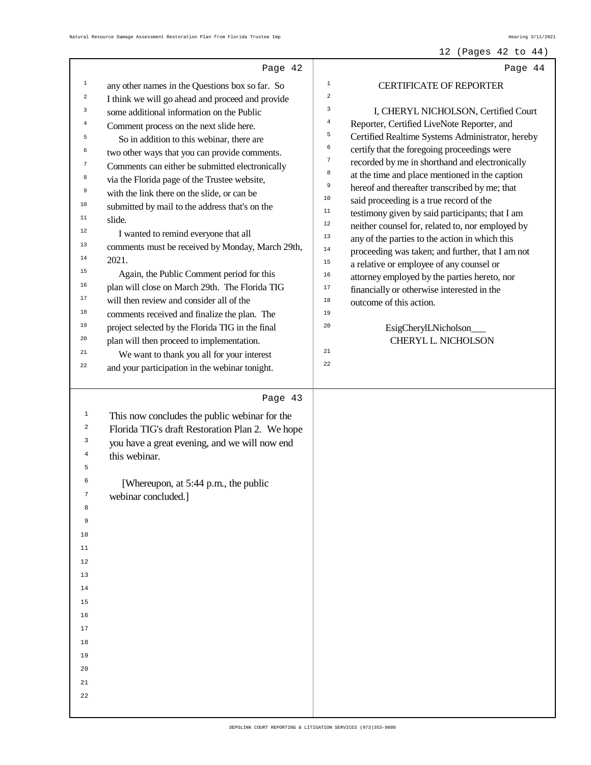#### 12 (Pages 42 to 44)

|                  | Page 42                                          | Page 44                                                                                        |
|------------------|--------------------------------------------------|------------------------------------------------------------------------------------------------|
| $\mathbf{1}$     | any other names in the Questions box so far. So  | $\,1$<br><b>CERTIFICATE OF REPORTER</b>                                                        |
| $\boldsymbol{2}$ | I think we will go ahead and proceed and provide | $\overline{\mathbf{c}}$                                                                        |
| 3                | some additional information on the Public        | 3<br>I, CHERYL NICHOLSON, Certified Court                                                      |
| $\overline{4}$   | Comment process on the next slide here.          | $\bf{4}$<br>Reporter, Certified LiveNote Reporter, and                                         |
| 5                | So in addition to this webinar, there are        | 5<br>Certified Realtime Systems Administrator, hereby                                          |
| 6                | two other ways that you can provide comments.    | 6<br>certify that the foregoing proceedings were                                               |
| 7                | Comments can either be submitted electronically  | $\boldsymbol{7}$<br>recorded by me in shorthand and electronically                             |
| 8                | via the Florida page of the Trustee website,     | 8<br>at the time and place mentioned in the caption                                            |
| 9                | with the link there on the slide, or can be      | 9<br>hereof and thereafter transcribed by me; that                                             |
| 10               | submitted by mail to the address that's on the   | $10$<br>said proceeding is a true record of the                                                |
| 11               | slide.                                           | $11\,$<br>testimony given by said participants; that I am<br>$1\,2$                            |
| 12               | I wanted to remind everyone that all             | neither counsel for, related to, nor employed by<br>13                                         |
| 13               | comments must be received by Monday, March 29th, | any of the parties to the action in which this<br>$14$                                         |
| 14               | 2021.                                            | proceeding was taken; and further, that I am not<br>15                                         |
| 15               | Again, the Public Comment period for this        | a relative or employee of any counsel or<br>16<br>attorney employed by the parties hereto, nor |
| 16               | plan will close on March 29th. The Florida TIG   | $17\,$<br>financially or otherwise interested in the                                           |
| 17               | will then review and consider all of the         | 18<br>outcome of this action.                                                                  |
| 18               | comments received and finalize the plan. The     | 19                                                                                             |
| 19               | project selected by the Florida TIG in the final | 20<br>EsigCherylLNicholson                                                                     |
| 20               | plan will then proceed to implementation.        | CHERYL L. NICHOLSON                                                                            |
| 21               | We want to thank you all for your interest       | 21                                                                                             |
| 22               | and your participation in the webinar tonight.   | 22                                                                                             |
|                  |                                                  |                                                                                                |
|                  | Page 43                                          |                                                                                                |
| $\mathbf{1}$     | This now concludes the public webinar for the    |                                                                                                |
| 2                | Florida TIG's draft Restoration Plan 2. We hope  |                                                                                                |
| 3                | you have a great evening, and we will now end    |                                                                                                |
| 4                | this webinar.                                    |                                                                                                |
| 5                |                                                  |                                                                                                |
| 6                | [Whereupon, at 5:44 p.m., the public             |                                                                                                |
|                  | webinar concluded.                               |                                                                                                |
| 8                |                                                  |                                                                                                |
| 9                |                                                  |                                                                                                |
| 10               |                                                  |                                                                                                |
| 11               |                                                  |                                                                                                |
| 12               |                                                  |                                                                                                |
| 13               |                                                  |                                                                                                |
| 14               |                                                  |                                                                                                |
| 15               |                                                  |                                                                                                |
| 16               |                                                  |                                                                                                |
| 17               |                                                  |                                                                                                |
| 18               |                                                  |                                                                                                |
| 19               |                                                  |                                                                                                |
| 20               |                                                  |                                                                                                |
| 21               |                                                  |                                                                                                |
| 22               |                                                  |                                                                                                |
|                  |                                                  |                                                                                                |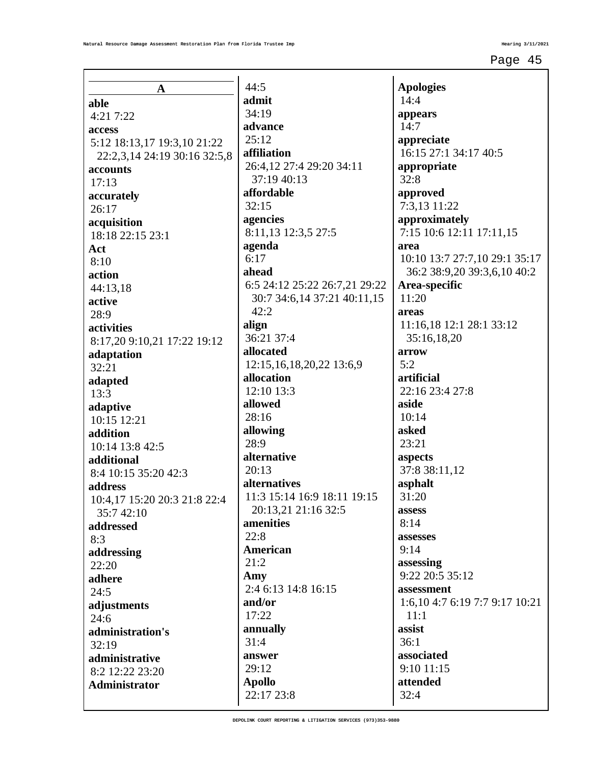| A                                       |  |
|-----------------------------------------|--|
| able                                    |  |
| 4:21 7:22                               |  |
| access                                  |  |
| 5:12 18:13,17 19:3,10 21:22             |  |
| 22:2,3,14 24:19 30:16 32:5,8            |  |
| accounts<br>17:13                       |  |
| accurately                              |  |
| 26:17                                   |  |
| acquisition                             |  |
| 18:18 22:15 23:1                        |  |
| Act                                     |  |
| 8:10<br>action                          |  |
| 44:13,18                                |  |
| active                                  |  |
| 28:9                                    |  |
| activities                              |  |
| 8:17,20 9:10,21 17:22 19:12             |  |
| adaptation                              |  |
| 32:21                                   |  |
| adapted<br>13:3                         |  |
| adaptive                                |  |
| 10:15 12:21                             |  |
| addition                                |  |
| 10:14 13:8 42:5                         |  |
| additional<br>8:4 10:15 35:20 42:3      |  |
| address                                 |  |
| 10:4,17 15:20 20:3 21:8 22:4            |  |
| 35:7 42:10                              |  |
| addressed                               |  |
| 8:3                                     |  |
| addressing                              |  |
| 22:20<br>adhere                         |  |
| 24:5                                    |  |
| adjustments                             |  |
| 24:6                                    |  |
| administration's                        |  |
| 32:19                                   |  |
| administrative                          |  |
| 8:2 12:22 23:20<br><b>Administrator</b> |  |
|                                         |  |
|                                         |  |

 $44:5$ **admit** 34:19 **advance** 25:12 **affiliation** 26:4,12 27:4 29:20 34:11 37:19 40:13 **affordable** 32:15 **agencies** 8:11,13 12:3,5 27:5 **agenda** 6:17 **ahead** 6:5 24:12 25:22 26:7,21 29:22 30:7 34:6,14 37:21 40:11,15 42:2 **align** 36:21 37:4 **allocated** 12:15,16,18,20,22 13:6,9 **allocation** 12:10 13:3 **allowed** 28:16 **allowing** 28:9 **alternative**  $20:13$ **alternatives** 11:3 15:14 16:9 18:11 19:15 20:13,21 21:16 32:5 **amenities** 22:8 **American** 21:2 **Amy** 2:4 6:13 14:8 16:15 **and/or** 17:22 **annually** 31:4 **answer** 29:12 **Apollo** 22:17 23:8

**Apologies** 14:4 **appears** 14:7 **appreciate** 16:15 27:1 34:17 40:5 **appropriate** 32:8 **approved** 7:3,13 11:22 **approximately** 7:15 10:6 12:11 17:11,15 **area** 10:10 13:7 27:7,10 29:1 35:17 36:2 38:9,20 39:3,6,10 40:2 **Area-specific** 11:20 **areas** 11:16,18 12:1 28:1 33:12 35:16,18,20 **arrow** 5:2 **artificial** 22:16 23:4 27:8 **aside** 10:14 **asked** 23:21 **aspects** 37:8 38:11,12 **asphalt** 31:20 **assess**  $8:14$ **assesses** 9:14 **assessing** 9:22 20:5 35:12 **assessment** 1:6,10 4:7 6:19 7:7 9:17 10:21 11:1 **assist** 36:1 **associated** 9:10 11:15 **attended** 32:4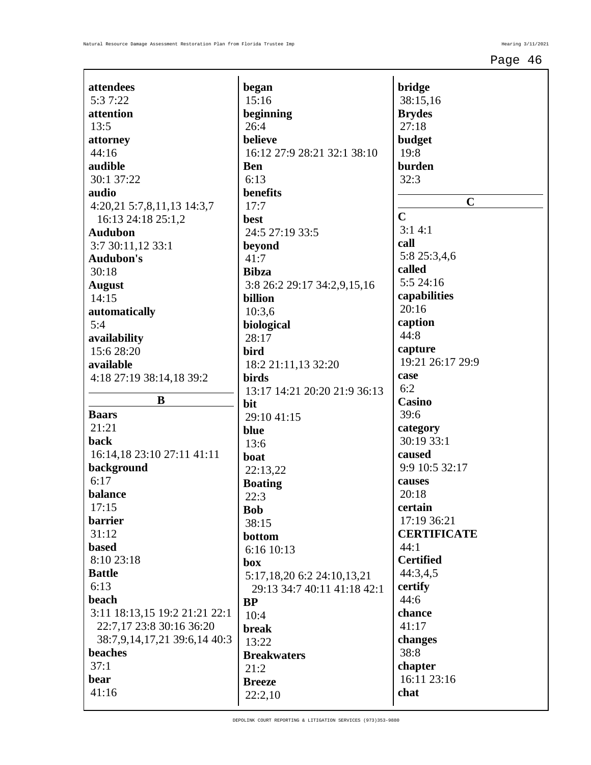| attendees                     | began                  |
|-------------------------------|------------------------|
| 5:3 7:22                      | 15:16                  |
| attention                     | beginnin               |
| 13:5                          | 26:4                   |
| attorney                      | believe                |
| 44:16                         | 16:12 27               |
| audible                       | <b>Ben</b>             |
| 30:1 37:22                    | 6:13                   |
| audio                         | benefits               |
| 4:20,21 5:7,8,11,13 14:3,7    | 17:7                   |
| 16:13 24:18 25:1,2            | best                   |
| <b>Audubon</b>                | 24:5 27:               |
| 3:7 30:11,12 33:1             | beyond                 |
| <b>Audubon's</b>              | 41:7                   |
| 30:18                         | <b>Bibza</b>           |
| <b>August</b>                 | 3:8 26:2               |
| 14:15                         | billion                |
| automatically                 | 10:3,6                 |
| 5:4                           | biologica              |
| availability                  | 28:17                  |
| 15:6 28:20                    | bird                   |
| available                     | 18:2 21:               |
| 4:18 27:19 38:14,18 39:2      | birds                  |
|                               | 13:17 14               |
|                               |                        |
| B                             | bit                    |
| <b>Baars</b>                  | 29:10 41               |
| 21:21                         | blue                   |
| back                          | 13:6                   |
| 16:14,18 23:10 27:11 41:11    | boat                   |
| background                    | 22:13,22               |
| 6:17                          | <b>Boating</b>         |
| balance                       | 22:3                   |
| 17:15                         | <b>Bob</b>             |
| barrier                       | 38:15                  |
| 31:12<br><b>based</b>         | bottom                 |
| 8:10 23:18                    | 6:1610:                |
| <b>Battle</b>                 | box                    |
| 6:13                          | 5:17,18,2              |
| beach                         | 29:133                 |
| 3:11 18:13,15 19:2 21:21 22:1 | BP<br>10:4             |
| 22:7,17 23:8 30:16 36:20      | break                  |
| 38:7,9,14,17,21 39:6,14 40:3  |                        |
| beaches                       | 13:22                  |
| 37:1                          | <b>Breakwa</b><br>21:2 |
| bear                          | <b>Breeze</b>          |
| 41:16                         | 22:2,10                |

**beginning** 16:12 27:9 28:21 32:1 38:10  $:193:5$ 29:17 34:2,9,15,16 **biological** :11,13 32:20 13:17 14:21 20:20 21:9 36:13  $1:15$ 22:13,22 6:16 10:13 5:17,18,20 6:2 24:10,13,21 29:13 34:7 40:11 41:18 42:1 **Breakwaters**

| bridge                   |
|--------------------------|
| 38:15,16                 |
| <b>Brydes</b>            |
| 27:18                    |
| budget                   |
| 19:8                     |
| burden                   |
| 32:3                     |
| C                        |
| $\overline{C}$           |
| 3:14:1                   |
| call                     |
| 5:8 25:3,4,6             |
| called                   |
| 5:5 24:16                |
| capabilities<br>20:16    |
| caption                  |
| 44:8                     |
| capture                  |
| 19:21 26:17 29:9         |
| case                     |
| 6:2                      |
| Casino                   |
| 39:6                     |
| category                 |
| 30:19 33:1               |
| caused                   |
| 9:9 10:5 32:17<br>causes |
| 20:18                    |
| certain                  |
| 17:19 36:21              |
| <b>CERTIFICATE</b>       |
| 44:1                     |
| <b>Certified</b>         |
| 44:3,4,5                 |
| certify                  |
| 44:6                     |
| chance<br>41:17          |
| changes                  |
| 38:8                     |
| chapter                  |
| 16:11 23:16              |
| chat                     |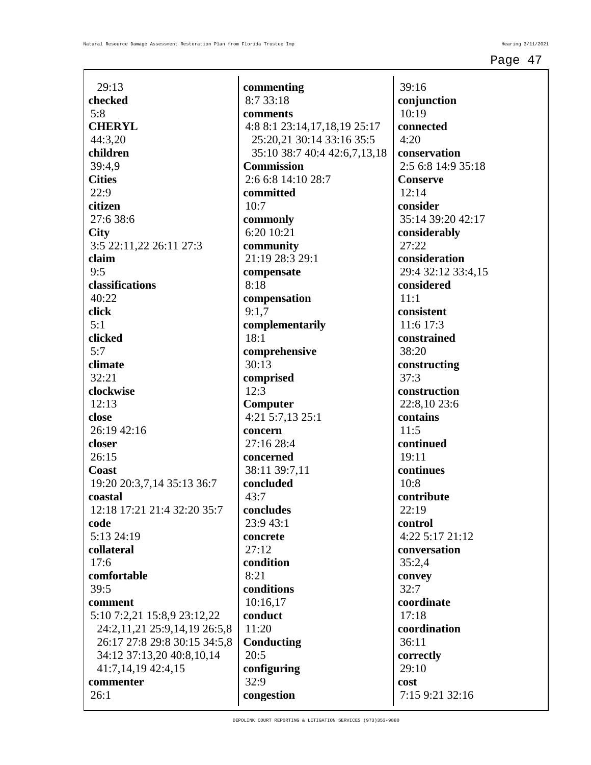| 29:13                        |
|------------------------------|
| checked                      |
| 5:8                          |
| <b>CHERYL</b>                |
| 44:3,20                      |
| children                     |
| 39:4,9                       |
| <b>Cities</b>                |
| 22:9                         |
| citizen                      |
| 27:6 38:6                    |
| <b>City</b>                  |
| 3:5 22:11,22 26:11 27:3      |
| claim                        |
| 9:5                          |
| classifications              |
| 40:22                        |
| click                        |
| 5:1                          |
| clicked                      |
| 5:7                          |
| climate                      |
| 32:21                        |
| clockwise                    |
| 12:13                        |
| close                        |
| 26:19 42:16                  |
| closer                       |
| 26:15                        |
| Coast                        |
| 19:20 20:3,7,14 35:13 36:7   |
| coastal                      |
| 12:18 17:21 21:4 32:20 35:7  |
| code                         |
| 5:13 24:19                   |
| collateral                   |
| 17:6                         |
| comfortable                  |
| 39:5                         |
| comment                      |
| 5:10 7:2,21 15:8,9 23:12,22  |
| 24:2,11,21 25:9,14,19 26:5,8 |
| 26:17 27:8 29:8 30:15 34:5,8 |
| 34:12 37:13,20 40:8,10,14    |
| 41:7,14,19 42:4,15           |
| commenter                    |
| 26:1                         |
|                              |

**commenting** 8:7 33:18 **comments** 4:8 8:1 23:14,17,18,19 25:17 25:20,21 30:14 33:16 35:5 35:10 38:7 40:4 42:6,7,13,18 **Commission** 2:6 6:8 14:10 28:7 **committed** 10:7 **commonly** 6:20 10:21 **community** 21:19 28:3 29:1 **compensate** 8:18 **compensation** 9:1,7 **complementarily** 18:1 **comprehensive** 30:13 **comprised** 12:3 **Computer** 4:21 5:7,13 25:1 **concern** 27:16 28:4 **concerned** 38:11 39:7,11 **concluded** 43:7 **concludes** 23:9 43:1 **concrete** 27:12 **condition** 8:21 **conditions** 10:16,17 **conduct** 11:20 **Conducting** 20:5 **configuring** 32:9 **congestion**

39:16 **conjunction** 10:19 **connected** 4:20 **conservation** 2:5 6:8 14:9 35:18 **Conserve** 12:14 **consider** 35:14 39:20 42:17 **considerably** 27:22 **consideration** 29:4 32:12 33:4,15 **considered** 11:1 **consistent** 11:6 17:3 **constrained** 38:20 **constructing** 37:3 **construction** 22:8,10 23:6 **contains** 11:5 **continued** 19:11 **continues** 10:8 **contribute** 22:19 **control** 4:22 5:17 21:12 **conversation** 35:2,4 **convey** 32:7 **coordinate** 17:18 **coordination** 36:11 **correctly** 29:10 **cost** 7:15 9:21 32:16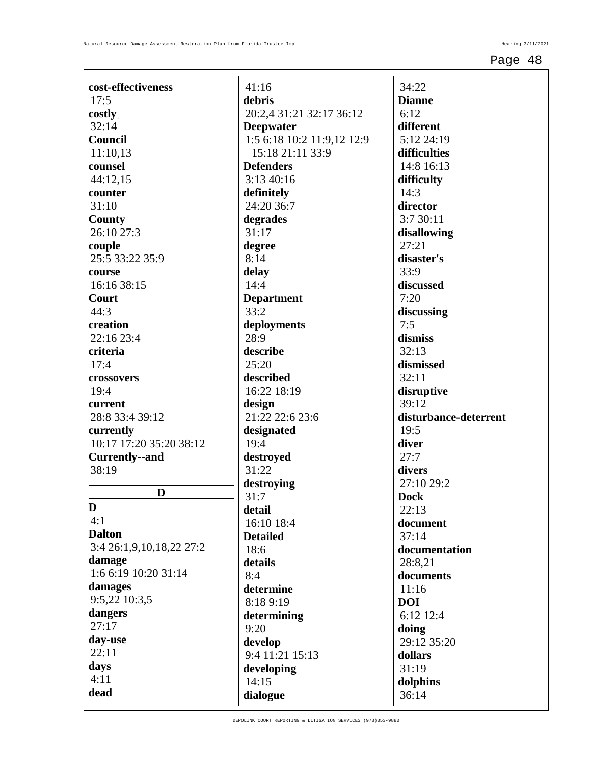| cost-effectiveness             | 41:16                                          |
|--------------------------------|------------------------------------------------|
| 17:5                           | debris                                         |
| costly                         | 20:2,4 31:21 32:17 36:12                       |
| 32:14                          | <b>Deepwater</b>                               |
| <b>Council</b>                 | 1:5 6:18 10:2 11:9,12 12:9<br>15:18 21:11 33:9 |
| 11:10,13                       | <b>Defenders</b>                               |
| counsel<br>44:12,15            | 3:13 40:16                                     |
| counter                        | definitely                                     |
| 31:10                          | 24:20 36:7                                     |
| County                         | degrades                                       |
| 26:10 27:3                     | 31:17                                          |
| couple                         | degree                                         |
| 25:5 33:22 35:9                | 8:14                                           |
| course                         | delay                                          |
| 16:16 38:15                    | 14:4                                           |
| Court                          | <b>Department</b>                              |
| 44:3                           | 33:2                                           |
| creation                       | deployments                                    |
| 22:16 23:4                     | 28:9                                           |
| criteria                       | describe                                       |
| 17:4                           | 25:20                                          |
| crossovers                     | described                                      |
| 19:4                           | 16:22 18:19                                    |
| current                        | design                                         |
| 28:8 33:4 39:12                | 21:22 22:6 23:6                                |
| currently                      | designated                                     |
| 10:17 17:20 35:20 38:12        | 19:4                                           |
| <b>Currently--and</b><br>38:19 | destroyed<br>31:22                             |
|                                | destroying                                     |
| D                              | 31:7                                           |
| D                              | detail                                         |
| 4:1                            | 16:10 18:4                                     |
| <b>Dalton</b>                  | <b>Detailed</b>                                |
| 3:4 26:1,9,10,18,22 27:2       | 18:6                                           |
| damage                         | details                                        |
| 1:6 6:19 10:20 31:14           | 8:4                                            |
| damages                        | determine                                      |
| 9:5,22 10:3,5                  | 8:18 9:19                                      |
| dangers                        | determining                                    |
| 27:17                          | 9:20                                           |
| day-use                        | develop                                        |
| 22:11                          | 9:4 11:21 15:13                                |
| days                           | developing                                     |
| 4:11                           | 14:15                                          |
| dead                           | dialogue                                       |

34:22 **Dianne** 6:12 **different** 5:12 24:19 **difficulties** 14:8 16:13 **difficulty** 14:3 **director** 3:7 30:11 **disallowing** 27:21 **disaster's** 33:9 **discussed** 7:20 **discussing** 7:5 **dismiss** 32:13 **dismissed** 32:11 **disruptive** 39:12 **disturbance-deterrent** 19:5 **diver** 27:7 **divers** 27:10 29:2 **Dock** 22:13 **document** 37:14 **documentation** 28:8,21 **documents** 11:16 **DOI** 6:12 12:4 **doing** 29:12 35:20 **dollars** 31:19 **dolphins** 36:14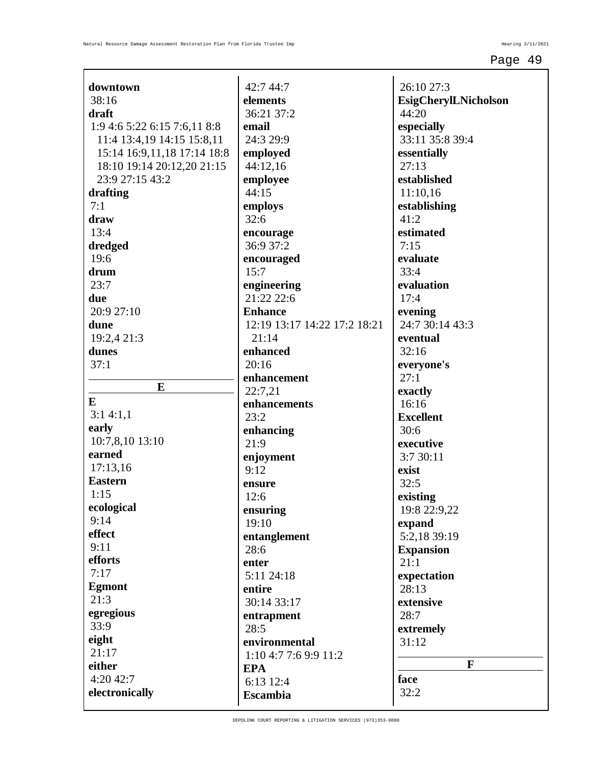| downtown                     | 42:7 44:7                    | 26:10 27:3                  |
|------------------------------|------------------------------|-----------------------------|
| 38:16                        | elements                     | <b>EsigCherylLNicholson</b> |
| draft                        | 36:21 37:2                   | 44:20                       |
| 1:9 4:6 5:22 6:15 7:6,11 8:8 | email                        | especially                  |
| 11:4 13:4,19 14:15 15:8,11   | 24:3 29:9                    | 33:11 35:8 39:4             |
| 15:14 16:9,11,18 17:14 18:8  | employed                     | essentially                 |
| 18:10 19:14 20:12,20 21:15   | 44:12,16                     | 27:13                       |
| 23:9 27:15 43:2              | employee                     | established                 |
| drafting                     | 44:15                        | 11:10,16                    |
| 7:1                          | employs                      | establishing                |
| draw                         | 32:6                         | 41:2                        |
| 13:4                         |                              | estimated                   |
|                              | encourage<br>36:9 37:2       | 7:15                        |
| dredged<br>19:6              |                              | evaluate                    |
|                              | encouraged                   |                             |
| drum                         | 15:7                         | 33:4                        |
| 23:7                         | engineering                  | evaluation                  |
| due                          | 21:22 22:6                   | 17:4                        |
| 20:9 27:10                   | <b>Enhance</b>               | evening                     |
| dune                         | 12:19 13:17 14:22 17:2 18:21 | 24:7 30:14 43:3             |
| 19:2,4 21:3                  | 21:14                        | eventual                    |
| dunes                        | enhanced                     | 32:16                       |
| 37:1                         | 20:16                        | everyone's                  |
| E                            | enhancement                  | 27:1                        |
| E                            | 22:7,21                      | exactly                     |
|                              | enhancements                 | 16:16                       |
| 3:14:1,1                     | 23:2                         | <b>Excellent</b>            |
| early                        | enhancing                    | 30:6                        |
| 10:7,8,10 13:10              | 21:9                         | executive                   |
| earned                       | enjoyment                    | 3:7 30:11                   |
| 17:13,16                     | 9:12                         | exist                       |
| <b>Eastern</b>               | ensure                       | 32:5                        |
| 1:15                         | 12:6                         | existing                    |
| ecological                   | ensuring                     | 19:8 22:9,22                |
| 9:14                         | 19:10                        | expand                      |
| effect                       | entanglement                 | 5:2,18 39:19                |
| 9:11                         | 28:6                         | <b>Expansion</b>            |
| efforts                      | enter                        | 21:1                        |
| 7:17                         | 5:11 24:18                   | expectation                 |
| <b>Egmont</b>                | entire                       | 28:13                       |
| 21:3                         | 30:14 33:17                  | extensive                   |
| egregious                    | entrapment                   | 28:7                        |
| 33:9                         | 28:5                         | extremely                   |
| eight                        | environmental                | 31:12                       |
| 21:17                        | 1:10 4:7 7:6 9:9 11:2        |                             |
| either                       | <b>EPA</b>                   | $\mathbf{F}$                |
| 4:20 42:7                    | 6:13 12:4                    | face                        |
| electronically               | <b>Escambia</b>              | 32:2                        |
|                              |                              |                             |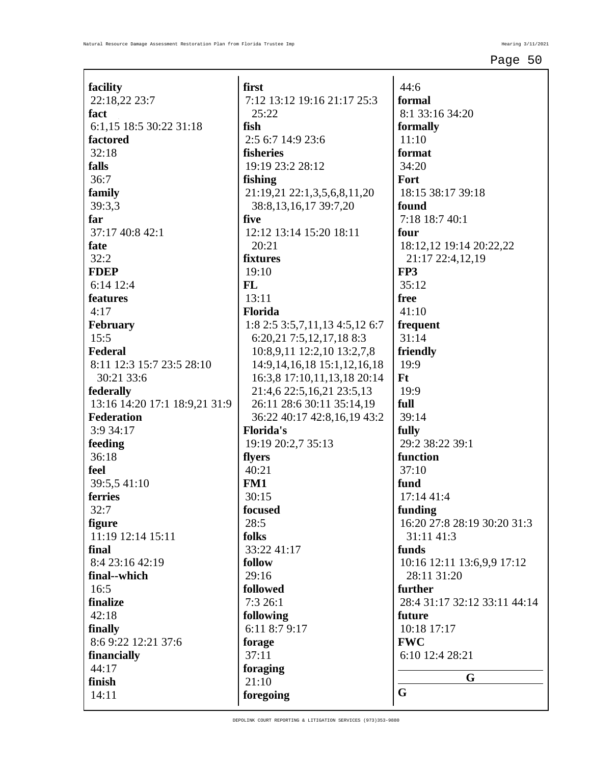| facility                        |
|---------------------------------|
| 22:18,22 23:7                   |
| fact<br>6:1,15 18:5 30:22 31:18 |
| factored                        |
| 32:18                           |
| falls                           |
| 36:7                            |
| family                          |
| 39:3,3                          |
| far                             |
| 37:17 40:8 42:1                 |
| fate                            |
| 32:2                            |
| <b>FDEP</b>                     |
| 6:14 12:4                       |
| features                        |
| 4:17                            |
| February                        |
| 15:5                            |
| <b>Federal</b>                  |
| 8:11 12:3 15:7 23:5 28:10       |
| 30:21 33:6                      |
| federally                       |
| 13:16 14:20 17:1 18:9,21 31:9   |
| <b>Federation</b>               |
| 3:9 34:17                       |
| feeding                         |
| 36:18                           |
| feel                            |
| 39:5,5 41:10                    |
| ferries                         |
| 32:7                            |
| figure                          |
| 11:19 12:14 15:11               |
| final                           |
| 8:4 23:16 42:19                 |
| final--which                    |
| 16:5                            |
| finalize                        |
| 42:18                           |
| finally<br>8:6 9:22 12:21 37:6  |
| financially                     |
| 44:17                           |
| finish                          |
| 14:11                           |
|                                 |

**first** 7:12 13:12 19:16 21:17 25:3 25:22 **fish** 2:5 6:7 14:9 23:6 **fisheries** 19:19 23:2 28:12 **fishing** 21:19,21 22:1,3,5,6,8,11,20 38:8,13,16,17 39:7,20 **five** 12:12 13:14 15:20 18:11 20:21 **fixtures** 19:10 **FL** 13:11 **Florida** 1:8 2:5 3:5,7,11,13 4:5,12 6:7 6:20,21 7:5,12,17,18 8:3 10:8,9,11 12:2,10 13:2,7,8 14:9,14,16,18 15:1,12,16,18 16:3,8 17:10,11,13,18 20:14 21:4,6 22:5,16,21 23:5,13 26:11 28:6 30:11 35:14,19 36:22 40:17 42:8,16,19 43:2 **Florida's** 19:19 20:2,7 35:13 **flyers**  $40:21$ **FM1** 30:15 **focused** 28:5 **folks** 33:22 41:17 **follow** 29:16 **followed** 7:3 26:1 **following** 6:11 8:7 9:17 **forage** 37:11 **foraging** 21:10 **foregoing**

44:6 **formal** 8:1 33:16 34:20 **formally** 11:10 **format** 34:20 **Fort** 18:15 38:17 39:18 **found** 7:18 18:7 40:1 **four** 18:12,12 19:14 20:22,22 21:17 22:4,12,19 **FP3** 35:12 **free** 41:10 **frequent** 31:14 **friendly** 19:9 **Ft** 19:9 **full** 39:14 **fully** 29:2 38:22 39:1 **function**  $37:10$ **fund** 17:14 41:4 **funding** 16:20 27:8 28:19 30:20 31:3 31:11 41:3 **funds** 10:16 12:11 13:6,9,9 17:12 28:11 31:20 **further** 28:4 31:17 32:12 33:11 44:14 **future** 10:18 17:17 **FWC** 6:10 12:4 28:21 **G G**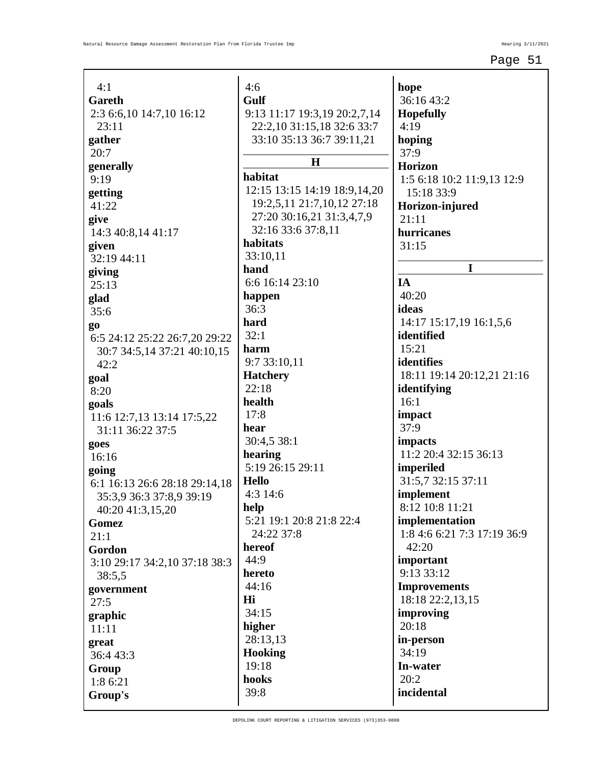| 4:1                                 |
|-------------------------------------|
| Gareth                              |
| 2:3 6:6,10 14:7,10 16:12            |
| 23:11                               |
| gather                              |
| 20:7                                |
| generally                           |
| 9:19                                |
| getting                             |
| 41:22                               |
| give                                |
| 14:3 40:8,14 41:17                  |
| given<br>32:19 44:11                |
|                                     |
| giving<br>25:13                     |
| glad                                |
| 35:6                                |
|                                     |
| go<br>6:5 24:12 25:22 26:7,20 29:22 |
| 30:7 34:5,14 37:21 40:10,15         |
| 42:2                                |
| goal                                |
| 8:20                                |
| goals                               |
| 11:6 12:7,13 13:14 17:5,22          |
| 31:11 36:22 37:5                    |
| goes                                |
| 16:16                               |
| going                               |
| 6:1 16:13 26:6 28:18 29:14,18       |
| 35:3,9 36:3 37:8,9 39:19            |
| 40:20 41:3,15,20                    |
| Gomez                               |
| 21:1                                |
| Gordon                              |
| 3:10 29:17 34:2,10 37:18 38:3       |
| 38:5,5                              |
| government                          |
| 27:5                                |
| graphic                             |
| 11:11                               |
| great                               |
| 36:4 43:3                           |
| Group                               |
| 1:8 6:21                            |
| Group's                             |

4:6 **Gulf** 9:13 11:17 19:3,19 20:2,7,14 22:2,10 31:15,18 32:6 33:7 33:10 35:13 36:7 39:11,21 **H habitat** 12:15 13:15 14:19 18:9,14,20 19:2,5,11 21:7,10,12 27:18 27:20 30:16,21 31:3,4,7,9 32:16 33:6 37:8,11 **habitats** 33:10,11 **hand** 6:6 16:14 23:10 **happen** 36:3 **hard** 32:1 **harm** 9:7 33:10,11 **Hatchery** 22:18 **health** 17:8 **hear** 30:4,5 38:1 **hearing** 5:19 26:15 29:11 **Hello** 4:3 14:6 **help** 5:21 19:1 20:8 21:8 22:4 24:22 37:8 **hereof** 44:9 **hereto** 44:16 **Hi** 34:15 **higher** 28:13,13 **Hooking** 19:18 **hooks** 39:8

**hope** 36:16 43:2 **Hopefully** 4:19 **hoping** 37:9 **Horizon** 1:5 6:18 10:2 11:9,13 12:9 15:18 33:9 **Horizon-injured** 21:11 **hurricanes** 31:15 **I IA** 40:20 **ideas** 14:17 15:17,19 16:1,5,6 **identified** 15:21 **identifies** 18:11 19:14 20:12,21 21:16 **identifying** 16:1 **impact** 37:9 **impacts** 11:2 20:4 32:15 36:13 **imperiled** 31:5,7 32:15 37:11 **implement** 8:12 10:8 11:21 **implementation** 1:8 4:6 6:21 7:3 17:19 36:9 42:20 **important** 9:13 33:12 **Improvements** 18:18 22:2,13,15 **improving** 20:18 **in-person** 34:19 **In-water** 20:2 **incidental**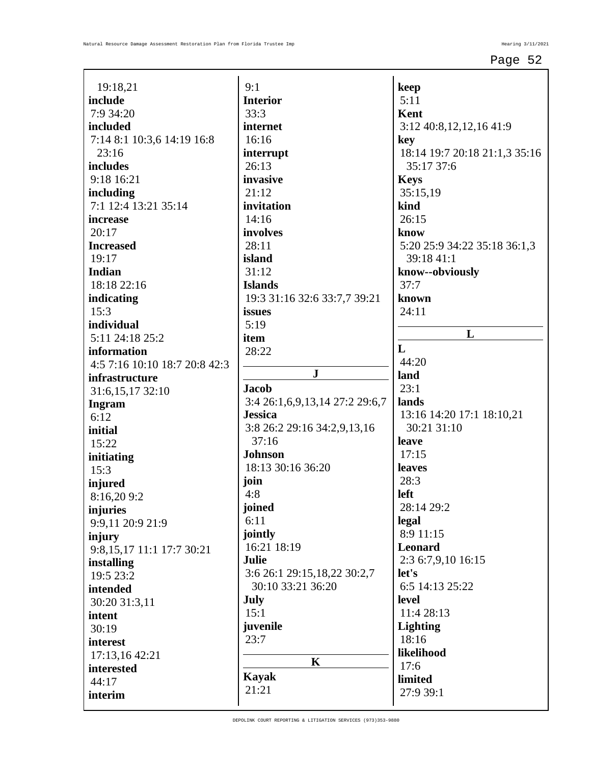| 5:11<br><b>Interior</b><br>7:9 34:20<br>33:3<br>Kent<br>internet<br>3:12 40:8,12,12,16 41:9<br>7:14 8:1 10:3,6 14:19 16:8<br>16:16<br>key<br>23:16<br>18:14 19:7 20:18 21:1,3 35:16<br>interrupt<br>26:13<br>35:17 37:6<br>9:18 16:21<br>invasive<br><b>Keys</b><br>21:12<br>35:15,19<br>7:1 12:4 13:21 35:14<br>kind<br>invitation<br>14:16<br>26:15<br>20:17<br>involves<br>know<br>28:11<br>5:20 25:9 34:22 35:18 36:1,3<br>19:17<br>island<br>39:18 41:1<br>31:12<br>know--obviously<br>18:18 22:16<br><b>Islands</b><br>37:7<br>19:3 31:16 32:6 33:7,7 39:21<br>known<br>15:3<br>issues<br>24:11<br>5:19<br>L<br>5:11 24:18 25:2<br>item<br>L<br>28:22<br>44:20<br>4:5 7:16 10:10 18:7 20:8 42:3<br>${\bf J}$<br>land<br>23:1<br><b>Jacob</b><br>31:6,15,17 32:10<br>3:4 26:1,6,9,13,14 27:2 29:6,7<br>lands<br><b>Jessica</b><br>13:16 14:20 17:1 18:10,21<br>6:12<br>30:21 31:10<br>3:8 26:2 29:16 34:2,9,13,16<br>37:16<br>leave<br>15:22<br><b>Johnson</b><br>17:15<br>18:13 30:16 36:20<br>leaves<br>28:3<br>join<br>4:8<br>left<br>8:16,209:2<br>joined<br>28:14 29:2<br>legal<br>6:11<br>9:9,11 20:9 21:9<br>jointly<br>8:9 11:15<br>16:21 18:19<br><b>Leonard</b><br>9:8,15,17 11:1 17:7 30:21<br>2:3 6:7,9,10 16:15<br>Julie<br>3:6 26:1 29:15,18,22 30:2,7<br>let's<br>19:5 23:2<br>30:10 33:21 36:20<br>6:5 14:13 25:22<br><b>July</b><br>level<br>30:20 31:3,11<br>15:1<br>11:4 28:13<br>juvenile<br><b>Lighting</b><br>30:19<br>23:7<br>18:16<br>likelihood<br>17:13,16 42:21<br>$\mathbf K$<br>17:6 | include<br>included<br>includes<br>including<br>increase<br><b>Increased</b><br><b>Indian</b><br>indicating<br>individual<br>information<br>infrastructure<br><b>Ingram</b><br>initial<br>initiating<br>15:3<br>injured<br>injuries<br>injury<br>installing<br>intended<br>intent<br>interest<br>interested<br><b>Kayak</b><br>limited<br>44:17<br>21:21<br>27:9 39:1<br>interim | 19:18,21 | 9:1 | keep |
|------------------------------------------------------------------------------------------------------------------------------------------------------------------------------------------------------------------------------------------------------------------------------------------------------------------------------------------------------------------------------------------------------------------------------------------------------------------------------------------------------------------------------------------------------------------------------------------------------------------------------------------------------------------------------------------------------------------------------------------------------------------------------------------------------------------------------------------------------------------------------------------------------------------------------------------------------------------------------------------------------------------------------------------------------------------------------------------------------------------------------------------------------------------------------------------------------------------------------------------------------------------------------------------------------------------------------------------------------------------------------------------------------------------------------------------------------------------------------------------------------------------------|----------------------------------------------------------------------------------------------------------------------------------------------------------------------------------------------------------------------------------------------------------------------------------------------------------------------------------------------------------------------------------|----------|-----|------|
|                                                                                                                                                                                                                                                                                                                                                                                                                                                                                                                                                                                                                                                                                                                                                                                                                                                                                                                                                                                                                                                                                                                                                                                                                                                                                                                                                                                                                                                                                                                        |                                                                                                                                                                                                                                                                                                                                                                                  |          |     |      |
|                                                                                                                                                                                                                                                                                                                                                                                                                                                                                                                                                                                                                                                                                                                                                                                                                                                                                                                                                                                                                                                                                                                                                                                                                                                                                                                                                                                                                                                                                                                        |                                                                                                                                                                                                                                                                                                                                                                                  |          |     |      |
|                                                                                                                                                                                                                                                                                                                                                                                                                                                                                                                                                                                                                                                                                                                                                                                                                                                                                                                                                                                                                                                                                                                                                                                                                                                                                                                                                                                                                                                                                                                        |                                                                                                                                                                                                                                                                                                                                                                                  |          |     |      |
|                                                                                                                                                                                                                                                                                                                                                                                                                                                                                                                                                                                                                                                                                                                                                                                                                                                                                                                                                                                                                                                                                                                                                                                                                                                                                                                                                                                                                                                                                                                        |                                                                                                                                                                                                                                                                                                                                                                                  |          |     |      |
|                                                                                                                                                                                                                                                                                                                                                                                                                                                                                                                                                                                                                                                                                                                                                                                                                                                                                                                                                                                                                                                                                                                                                                                                                                                                                                                                                                                                                                                                                                                        |                                                                                                                                                                                                                                                                                                                                                                                  |          |     |      |
|                                                                                                                                                                                                                                                                                                                                                                                                                                                                                                                                                                                                                                                                                                                                                                                                                                                                                                                                                                                                                                                                                                                                                                                                                                                                                                                                                                                                                                                                                                                        |                                                                                                                                                                                                                                                                                                                                                                                  |          |     |      |
|                                                                                                                                                                                                                                                                                                                                                                                                                                                                                                                                                                                                                                                                                                                                                                                                                                                                                                                                                                                                                                                                                                                                                                                                                                                                                                                                                                                                                                                                                                                        |                                                                                                                                                                                                                                                                                                                                                                                  |          |     |      |
|                                                                                                                                                                                                                                                                                                                                                                                                                                                                                                                                                                                                                                                                                                                                                                                                                                                                                                                                                                                                                                                                                                                                                                                                                                                                                                                                                                                                                                                                                                                        |                                                                                                                                                                                                                                                                                                                                                                                  |          |     |      |
|                                                                                                                                                                                                                                                                                                                                                                                                                                                                                                                                                                                                                                                                                                                                                                                                                                                                                                                                                                                                                                                                                                                                                                                                                                                                                                                                                                                                                                                                                                                        |                                                                                                                                                                                                                                                                                                                                                                                  |          |     |      |
|                                                                                                                                                                                                                                                                                                                                                                                                                                                                                                                                                                                                                                                                                                                                                                                                                                                                                                                                                                                                                                                                                                                                                                                                                                                                                                                                                                                                                                                                                                                        |                                                                                                                                                                                                                                                                                                                                                                                  |          |     |      |
|                                                                                                                                                                                                                                                                                                                                                                                                                                                                                                                                                                                                                                                                                                                                                                                                                                                                                                                                                                                                                                                                                                                                                                                                                                                                                                                                                                                                                                                                                                                        |                                                                                                                                                                                                                                                                                                                                                                                  |          |     |      |
|                                                                                                                                                                                                                                                                                                                                                                                                                                                                                                                                                                                                                                                                                                                                                                                                                                                                                                                                                                                                                                                                                                                                                                                                                                                                                                                                                                                                                                                                                                                        |                                                                                                                                                                                                                                                                                                                                                                                  |          |     |      |
|                                                                                                                                                                                                                                                                                                                                                                                                                                                                                                                                                                                                                                                                                                                                                                                                                                                                                                                                                                                                                                                                                                                                                                                                                                                                                                                                                                                                                                                                                                                        |                                                                                                                                                                                                                                                                                                                                                                                  |          |     |      |
|                                                                                                                                                                                                                                                                                                                                                                                                                                                                                                                                                                                                                                                                                                                                                                                                                                                                                                                                                                                                                                                                                                                                                                                                                                                                                                                                                                                                                                                                                                                        |                                                                                                                                                                                                                                                                                                                                                                                  |          |     |      |
|                                                                                                                                                                                                                                                                                                                                                                                                                                                                                                                                                                                                                                                                                                                                                                                                                                                                                                                                                                                                                                                                                                                                                                                                                                                                                                                                                                                                                                                                                                                        |                                                                                                                                                                                                                                                                                                                                                                                  |          |     |      |
|                                                                                                                                                                                                                                                                                                                                                                                                                                                                                                                                                                                                                                                                                                                                                                                                                                                                                                                                                                                                                                                                                                                                                                                                                                                                                                                                                                                                                                                                                                                        |                                                                                                                                                                                                                                                                                                                                                                                  |          |     |      |
|                                                                                                                                                                                                                                                                                                                                                                                                                                                                                                                                                                                                                                                                                                                                                                                                                                                                                                                                                                                                                                                                                                                                                                                                                                                                                                                                                                                                                                                                                                                        |                                                                                                                                                                                                                                                                                                                                                                                  |          |     |      |
|                                                                                                                                                                                                                                                                                                                                                                                                                                                                                                                                                                                                                                                                                                                                                                                                                                                                                                                                                                                                                                                                                                                                                                                                                                                                                                                                                                                                                                                                                                                        |                                                                                                                                                                                                                                                                                                                                                                                  |          |     |      |
|                                                                                                                                                                                                                                                                                                                                                                                                                                                                                                                                                                                                                                                                                                                                                                                                                                                                                                                                                                                                                                                                                                                                                                                                                                                                                                                                                                                                                                                                                                                        |                                                                                                                                                                                                                                                                                                                                                                                  |          |     |      |
|                                                                                                                                                                                                                                                                                                                                                                                                                                                                                                                                                                                                                                                                                                                                                                                                                                                                                                                                                                                                                                                                                                                                                                                                                                                                                                                                                                                                                                                                                                                        |                                                                                                                                                                                                                                                                                                                                                                                  |          |     |      |
|                                                                                                                                                                                                                                                                                                                                                                                                                                                                                                                                                                                                                                                                                                                                                                                                                                                                                                                                                                                                                                                                                                                                                                                                                                                                                                                                                                                                                                                                                                                        |                                                                                                                                                                                                                                                                                                                                                                                  |          |     |      |
|                                                                                                                                                                                                                                                                                                                                                                                                                                                                                                                                                                                                                                                                                                                                                                                                                                                                                                                                                                                                                                                                                                                                                                                                                                                                                                                                                                                                                                                                                                                        |                                                                                                                                                                                                                                                                                                                                                                                  |          |     |      |
|                                                                                                                                                                                                                                                                                                                                                                                                                                                                                                                                                                                                                                                                                                                                                                                                                                                                                                                                                                                                                                                                                                                                                                                                                                                                                                                                                                                                                                                                                                                        |                                                                                                                                                                                                                                                                                                                                                                                  |          |     |      |
|                                                                                                                                                                                                                                                                                                                                                                                                                                                                                                                                                                                                                                                                                                                                                                                                                                                                                                                                                                                                                                                                                                                                                                                                                                                                                                                                                                                                                                                                                                                        |                                                                                                                                                                                                                                                                                                                                                                                  |          |     |      |
|                                                                                                                                                                                                                                                                                                                                                                                                                                                                                                                                                                                                                                                                                                                                                                                                                                                                                                                                                                                                                                                                                                                                                                                                                                                                                                                                                                                                                                                                                                                        |                                                                                                                                                                                                                                                                                                                                                                                  |          |     |      |
|                                                                                                                                                                                                                                                                                                                                                                                                                                                                                                                                                                                                                                                                                                                                                                                                                                                                                                                                                                                                                                                                                                                                                                                                                                                                                                                                                                                                                                                                                                                        |                                                                                                                                                                                                                                                                                                                                                                                  |          |     |      |
|                                                                                                                                                                                                                                                                                                                                                                                                                                                                                                                                                                                                                                                                                                                                                                                                                                                                                                                                                                                                                                                                                                                                                                                                                                                                                                                                                                                                                                                                                                                        |                                                                                                                                                                                                                                                                                                                                                                                  |          |     |      |
|                                                                                                                                                                                                                                                                                                                                                                                                                                                                                                                                                                                                                                                                                                                                                                                                                                                                                                                                                                                                                                                                                                                                                                                                                                                                                                                                                                                                                                                                                                                        |                                                                                                                                                                                                                                                                                                                                                                                  |          |     |      |
|                                                                                                                                                                                                                                                                                                                                                                                                                                                                                                                                                                                                                                                                                                                                                                                                                                                                                                                                                                                                                                                                                                                                                                                                                                                                                                                                                                                                                                                                                                                        |                                                                                                                                                                                                                                                                                                                                                                                  |          |     |      |
|                                                                                                                                                                                                                                                                                                                                                                                                                                                                                                                                                                                                                                                                                                                                                                                                                                                                                                                                                                                                                                                                                                                                                                                                                                                                                                                                                                                                                                                                                                                        |                                                                                                                                                                                                                                                                                                                                                                                  |          |     |      |
|                                                                                                                                                                                                                                                                                                                                                                                                                                                                                                                                                                                                                                                                                                                                                                                                                                                                                                                                                                                                                                                                                                                                                                                                                                                                                                                                                                                                                                                                                                                        |                                                                                                                                                                                                                                                                                                                                                                                  |          |     |      |
|                                                                                                                                                                                                                                                                                                                                                                                                                                                                                                                                                                                                                                                                                                                                                                                                                                                                                                                                                                                                                                                                                                                                                                                                                                                                                                                                                                                                                                                                                                                        |                                                                                                                                                                                                                                                                                                                                                                                  |          |     |      |
|                                                                                                                                                                                                                                                                                                                                                                                                                                                                                                                                                                                                                                                                                                                                                                                                                                                                                                                                                                                                                                                                                                                                                                                                                                                                                                                                                                                                                                                                                                                        |                                                                                                                                                                                                                                                                                                                                                                                  |          |     |      |
|                                                                                                                                                                                                                                                                                                                                                                                                                                                                                                                                                                                                                                                                                                                                                                                                                                                                                                                                                                                                                                                                                                                                                                                                                                                                                                                                                                                                                                                                                                                        |                                                                                                                                                                                                                                                                                                                                                                                  |          |     |      |
|                                                                                                                                                                                                                                                                                                                                                                                                                                                                                                                                                                                                                                                                                                                                                                                                                                                                                                                                                                                                                                                                                                                                                                                                                                                                                                                                                                                                                                                                                                                        |                                                                                                                                                                                                                                                                                                                                                                                  |          |     |      |
|                                                                                                                                                                                                                                                                                                                                                                                                                                                                                                                                                                                                                                                                                                                                                                                                                                                                                                                                                                                                                                                                                                                                                                                                                                                                                                                                                                                                                                                                                                                        |                                                                                                                                                                                                                                                                                                                                                                                  |          |     |      |
|                                                                                                                                                                                                                                                                                                                                                                                                                                                                                                                                                                                                                                                                                                                                                                                                                                                                                                                                                                                                                                                                                                                                                                                                                                                                                                                                                                                                                                                                                                                        |                                                                                                                                                                                                                                                                                                                                                                                  |          |     |      |
|                                                                                                                                                                                                                                                                                                                                                                                                                                                                                                                                                                                                                                                                                                                                                                                                                                                                                                                                                                                                                                                                                                                                                                                                                                                                                                                                                                                                                                                                                                                        |                                                                                                                                                                                                                                                                                                                                                                                  |          |     |      |
|                                                                                                                                                                                                                                                                                                                                                                                                                                                                                                                                                                                                                                                                                                                                                                                                                                                                                                                                                                                                                                                                                                                                                                                                                                                                                                                                                                                                                                                                                                                        |                                                                                                                                                                                                                                                                                                                                                                                  |          |     |      |
|                                                                                                                                                                                                                                                                                                                                                                                                                                                                                                                                                                                                                                                                                                                                                                                                                                                                                                                                                                                                                                                                                                                                                                                                                                                                                                                                                                                                                                                                                                                        |                                                                                                                                                                                                                                                                                                                                                                                  |          |     |      |
|                                                                                                                                                                                                                                                                                                                                                                                                                                                                                                                                                                                                                                                                                                                                                                                                                                                                                                                                                                                                                                                                                                                                                                                                                                                                                                                                                                                                                                                                                                                        |                                                                                                                                                                                                                                                                                                                                                                                  |          |     |      |
|                                                                                                                                                                                                                                                                                                                                                                                                                                                                                                                                                                                                                                                                                                                                                                                                                                                                                                                                                                                                                                                                                                                                                                                                                                                                                                                                                                                                                                                                                                                        |                                                                                                                                                                                                                                                                                                                                                                                  |          |     |      |
|                                                                                                                                                                                                                                                                                                                                                                                                                                                                                                                                                                                                                                                                                                                                                                                                                                                                                                                                                                                                                                                                                                                                                                                                                                                                                                                                                                                                                                                                                                                        |                                                                                                                                                                                                                                                                                                                                                                                  |          |     |      |
|                                                                                                                                                                                                                                                                                                                                                                                                                                                                                                                                                                                                                                                                                                                                                                                                                                                                                                                                                                                                                                                                                                                                                                                                                                                                                                                                                                                                                                                                                                                        |                                                                                                                                                                                                                                                                                                                                                                                  |          |     |      |
|                                                                                                                                                                                                                                                                                                                                                                                                                                                                                                                                                                                                                                                                                                                                                                                                                                                                                                                                                                                                                                                                                                                                                                                                                                                                                                                                                                                                                                                                                                                        |                                                                                                                                                                                                                                                                                                                                                                                  |          |     |      |
|                                                                                                                                                                                                                                                                                                                                                                                                                                                                                                                                                                                                                                                                                                                                                                                                                                                                                                                                                                                                                                                                                                                                                                                                                                                                                                                                                                                                                                                                                                                        |                                                                                                                                                                                                                                                                                                                                                                                  |          |     |      |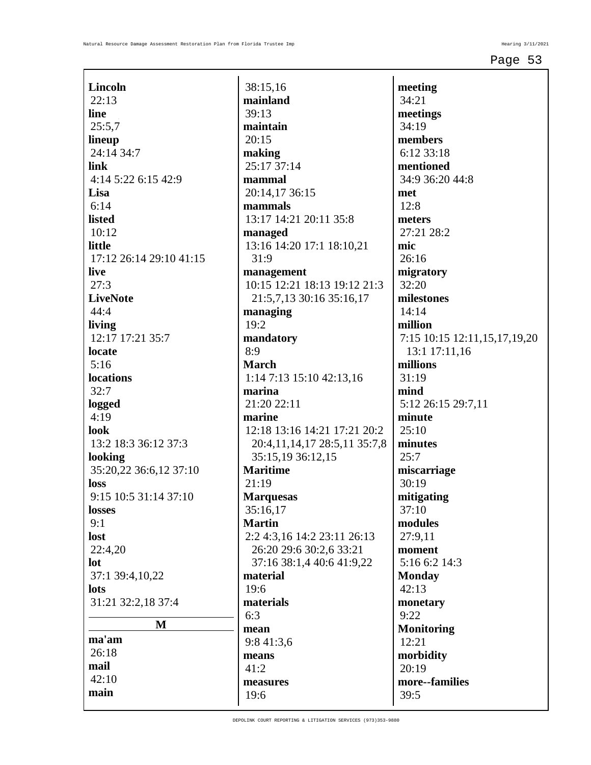| <b>Lincoln</b>          |
|-------------------------|
| 22:13                   |
| line                    |
| 25:5,7                  |
|                         |
| lineup                  |
| 24:14 34:7              |
| link                    |
| 4:14 5:22 6:15 42:9     |
| Lisa                    |
| 6:14                    |
| <b>listed</b>           |
|                         |
| 10:12                   |
| little                  |
| 17:12 26:14 29:10 41:15 |
| live                    |
| 27:3                    |
| <b>LiveNote</b>         |
| 44:4                    |
|                         |
| living                  |
| 12:17 17:21 35:7        |
| locate                  |
| 5:16                    |
| locations               |
| 32:7                    |
|                         |
| logged                  |
| 4:19                    |
| look                    |
| 13:2 18:3 36:12 37:3    |
| looking                 |
| 35:20,22 36:6,12 37:10  |
| loss                    |
| 9:15 10:5 31:14 37:10   |
|                         |
| <b>losses</b>           |
| 9:1                     |
| lost                    |
| 22:4,20                 |
| lot                     |
| 37:1 39:4,10,22         |
| lots                    |
|                         |
| 31:21 32:2,18 37:4      |
| M                       |
| ma'am                   |
|                         |
| 26:18                   |
| mail                    |
| 42:10                   |
| main                    |
|                         |

38:15,16 **mainland** 39:13 **maintain** 20:15 **making** 25:17 37:14 **mammal** 20:14,17 36:15 **mammals** 13:17 14:21 20:11 35:8 **managed** 13:16 14:20 17:1 18:10,21 31:9 **management** 10:15 12:21 18:13 19:12 21:3 21:5,7,13 30:16 35:16,17 **managing** 19:2 **mandatory** 8:9 **March** 1:14 7:13 15:10 42:13,16 **marina** 21:20 22:11 **marine** 12:18 13:16 14:21 17:21 20:2 20:4,11,14,17 28:5,11 35:7,8 35:15,19 36:12,15 **Maritime** 21:19 **Marquesas** 35:16,17 **Martin** 2:2 4:3,16 14:2 23:11 26:13 26:20 29:6 30:2,6 33:21 37:16 38:1,4 40:6 41:9,22 **material** 19:6 **materials** 6:3 **mean** 9:8 41:3,6 **means** 41:2 **measures** 19:6

**meeting** 34:21 **meetings** 34:19 **members** 6:12 33:18 **mentioned** 34:9 36:20 44:8 **met** 12:8 **meters** 27:21 28:2 **mic** 26:16 **migratory** 32:20 **milestones** 14:14 **million** 7:15 10:15 12:11,15,17,19,20 13:1 17:11,16 **millions** 31:19 **mind** 5:12 26:15 29:7,11 **minute** 25:10 **minutes** 25:7 **miscarriage** 30:19 **mitigating** 37:10 **modules** 27:9,11 **moment** 5:16 6:2 14:3 **Monday** 42:13 **monetary** 9:22 **Monitoring** 12:21 **morbidity** 20:19 **more--families** 39:5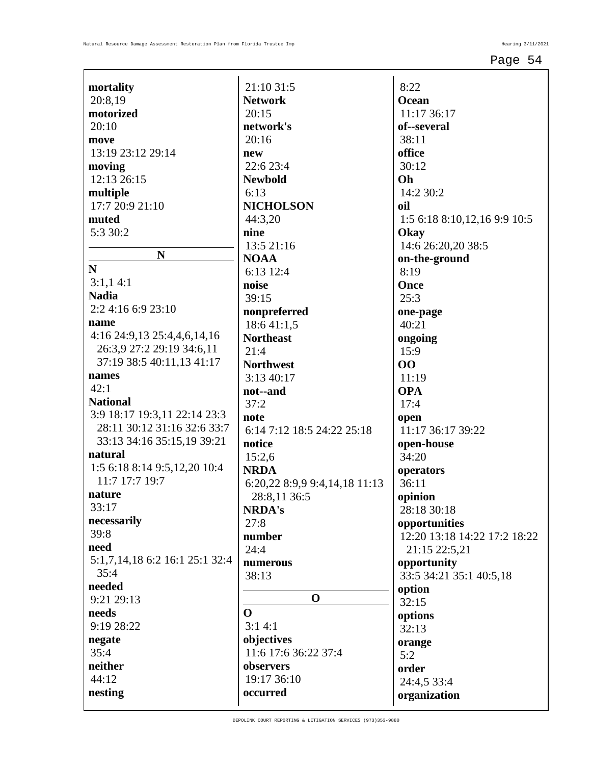| mortality                      | 21:10 31:5                    | 8:22                         |
|--------------------------------|-------------------------------|------------------------------|
| 20:8,19                        | <b>Network</b>                | <b>Ocean</b>                 |
| motorized                      | 20:15                         | 11:17 36:17                  |
| 20:10                          | network's                     | of--several                  |
| move                           | 20:16                         | 38:11                        |
| 13:19 23:12 29:14              | new                           | office                       |
| moving                         | 22:6 23:4                     | 30:12                        |
| 12:13 26:15                    | <b>Newbold</b>                | Oh                           |
| multiple                       | 6:13                          | 14:2 30:2                    |
| 17:7 20:9 21:10                | <b>NICHOLSON</b>              | oil                          |
| muted                          | 44:3,20                       | 1:5 6:18 8:10,12,16 9:9 10:5 |
| 5:3 30:2                       | nine                          | Okay                         |
|                                | 13:5 21:16                    | 14:6 26:20,20 38:5           |
| ${\bf N}$                      | <b>NOAA</b>                   | on-the-ground                |
| $\mathbf N$                    | 6:13 12:4                     | 8:19                         |
| 3:1,14:1                       | noise                         | Once                         |
| <b>Nadia</b>                   | 39:15                         | 25:3                         |
| 2:2 4:16 6:9 23:10             | nonpreferred                  | one-page                     |
| name                           | 18:6 41:1,5                   | 40:21                        |
| 4:16 24:9,13 25:4,4,6,14,16    | <b>Northeast</b>              | ongoing                      |
| 26:3,9 27:2 29:19 34:6,11      | 21:4                          | 15:9                         |
| 37:19 38:5 40:11,13 41:17      | <b>Northwest</b>              | 00                           |
| names                          | 3:13 40:17                    | 11:19                        |
| 42:1                           | not--and                      | <b>OPA</b>                   |
| <b>National</b>                | 37:2                          | 17:4                         |
| 3:9 18:17 19:3,11 22:14 23:3   | note                          | open                         |
| 28:11 30:12 31:16 32:6 33:7    | 6:14 7:12 18:5 24:22 25:18    | 11:17 36:17 39:22            |
| 33:13 34:16 35:15,19 39:21     | notice                        | open-house                   |
| natural                        | 15:2,6                        | 34:20                        |
| 1:5 6:18 8:14 9:5,12,20 10:4   | <b>NRDA</b>                   | operators                    |
| 11:7 17:7 19:7                 | 6:20,22 8:9,9 9:4,14,18 11:13 | 36:11                        |
| nature                         | 28:8,11 36:5                  | opinion                      |
| 33:17                          | <b>NRDA's</b>                 | 28:18 30:18                  |
| necessarily                    | 27:8                          | opportunities                |
| 39:8                           | number                        | 12:20 13:18 14:22 17:2 18:22 |
| need                           | 24:4                          | 21:15 22:5,21                |
| 5:1,7,14,18 6:2 16:1 25:1 32:4 | numerous                      | opportunity                  |
| 35:4                           | 38:13                         | 33:5 34:21 35:1 40:5,18      |
| needed                         |                               | option                       |
| 9:21 29:13                     | $\mathbf 0$                   | 32:15                        |
| needs                          | $\Omega$                      | options                      |
| 9:19 28:22                     | 3:14:1                        | 32:13                        |
| negate                         | objectives                    | orange                       |
| 35:4                           | 11:6 17:6 36:22 37:4          | 5:2                          |
| neither                        | observers                     | order                        |
| 44:12                          | 19:17 36:10                   | 24:4,5 33:4                  |
| nesting                        | occurred                      | organization                 |
|                                |                               |                              |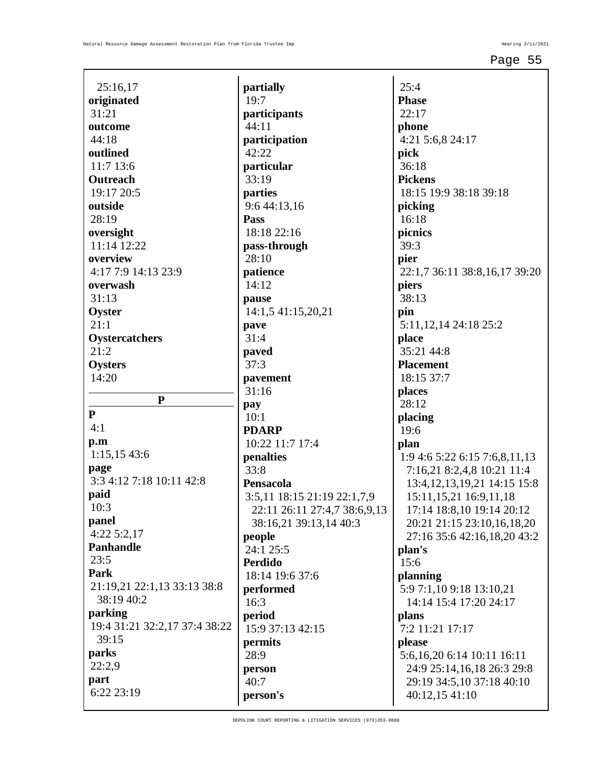| 25:16,17                                  |
|-------------------------------------------|
| originated                                |
| 31:21                                     |
| outcome                                   |
| 44:18                                     |
| outlined                                  |
| 11:7 13:6                                 |
| Outreach                                  |
| 19:17 20:5                                |
| outside                                   |
| 28:19                                     |
|                                           |
| oversight                                 |
| 11:14 12:22                               |
| overview                                  |
| 4:17 7:9 14:13 23:9                       |
| overwash                                  |
| 31:13                                     |
| Oyster                                    |
| 21:1                                      |
| <b>Oystercatchers</b>                     |
| 21:2                                      |
| Oysters                                   |
| 14:20                                     |
|                                           |
|                                           |
| P                                         |
| P                                         |
| 4:1                                       |
| $\mathbf{p}.\mathbf{m}$                   |
| 1:15,15 43:6                              |
| page                                      |
| 3:3 4:12 7:18 10:11 42:8                  |
| paid                                      |
| 10:3                                      |
| panel                                     |
| 4:22 5:2,17                               |
| <b>Panhandle</b>                          |
| 23:5                                      |
| Park                                      |
|                                           |
| 21:19,21 22:1,13 33:13 38:8<br>38:19 40:2 |
|                                           |
| parking                                   |
| 19:4 31:21 32:2,17 37:4 38:22             |
| 39:15                                     |
| parks                                     |
| 22:2,9                                    |
| part<br>6:22 23:19                        |

**partially** 19:7 **participants** 44:11 **participation** 42:22 **particular** 33:19 **parties** 9:6 44:13,16 **Pass** 18:18 22:16 **pass-through** 28:10 **patience** 14:12 **pause** 14:1,5 41:15,20,21 **pave** 31:4 **paved** 37:3 **pavement** 31:16 **pay** 10:1 **PDARP** 10:22 11:7 17:4 **penalties** 33:8 **Pensacola** 3:5,11 18:15 21:19 22:1,7,9 22:11 26:11 27:4,7 38:6,9,13 38:16,21 39:13,14 40:3 **people** 24:1 25:5 **Perdido** 18:14 19:6 37:6 **performed** 16:3 **period** 15:9 37:13 42:15 **permits** 28:9 **person** 40:7 **person's**

 $25:4$ **Phase** 22:17 **phone** 4:21 5:6,8 24:17 **pick** 36:18 **Pickens** 18:15 19:9 38:18 39:18 **picking** 16:18 **picnics** 39:3 **pier** 22:1,7 36:11 38:8,16,17 39:20 **piers** 38:13 **pin** 5:11,12,14 24:18 25:2 **place** 35:21 44:8 **Placement** 18:15 37:7 **places** 28:12 **placing** 19:6 **plan** 1:9 4:6 5:22 6:15 7:6,8,11,13 7:16,21 8:2,4,8 10:21 11:4 13:4,12,13,19,21 14:15 15:8 15:11,15,21 16:9,11,18 17:14 18:8,10 19:14 20:12 20:21 21:15 23:10,16,18,20 27:16 35:6 42:16,18,20 43:2 **plan's** 15:6 **planning** 5:9 7:1,10 9:18 13:10,21 14:14 15:4 17:20 24:17 **plans** 7:2 11:21 17:17 **please** 5:6,16,20 6:14 10:11 16:11 24:9 25:14,16,18 26:3 29:8 29:19 34:5,10 37:18 40:10 40:12,15 41:10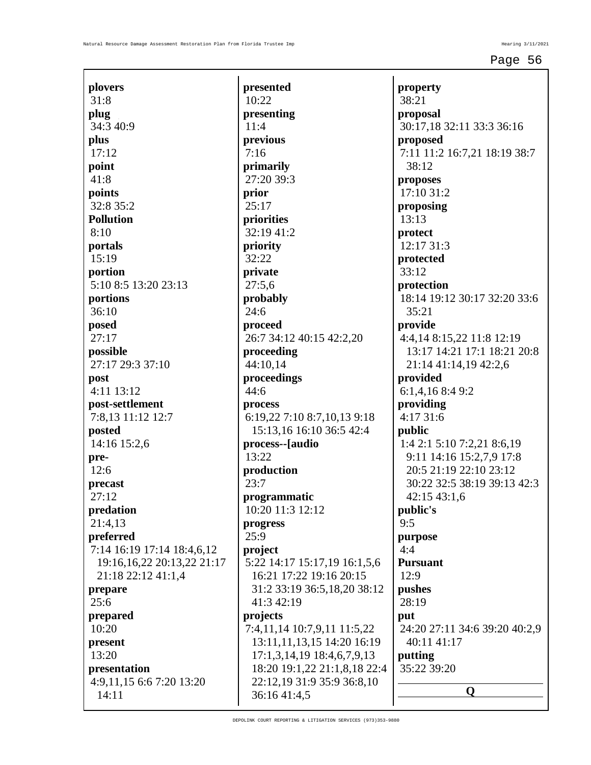$\mathbf{I}$ 

| plovers                       | presente             |
|-------------------------------|----------------------|
| 31:8                          | 10:22                |
| plug                          | presentir            |
| 34:3 40:9                     | 11:4                 |
| plus                          | previous             |
| 17:12                         | 7:16                 |
| point                         | primarily            |
| 41:8                          | 27:20 39             |
| points                        | prior                |
| 32:8 35:2                     | 25:17                |
| <b>Pollution</b>              | priorities           |
| 8:10                          | 32:19 41             |
| portals                       | priority             |
| 15:19                         | 32:22                |
| portion                       | private              |
| 5:10 8:5 13:20 23:13          | 27:5,6               |
| portions                      | probably             |
| 36:10                         | 24:6                 |
| posed                         | proceed              |
| 27:17                         | 26:7 34:1            |
| possible                      | proceedi             |
| 27:17 29:3 37:10              | 44:10,14             |
| post                          | proceedi             |
| 4:11 13:12                    | 44:6                 |
| post-settlement               | process              |
| 7:8,13 11:12 12:7             | 6:19,22              |
| posted                        | 15:13,1              |
| 14:16 15:2,6                  | process--            |
| pre-                          | 13:22                |
| 12:6                          | producti             |
| precast<br>27:12              | 23:7                 |
|                               | program              |
| predation                     | 10:20 11             |
| 21:4,13<br>preferred          | progress<br>25:9     |
| 7:14 16:19 17:14 18:4,6,12    |                      |
| 19:16, 16, 22 20:13, 22 21:17 | project<br>5:22 14:1 |
| 21:18 22:12 41:1,4            | 16:21 1              |
| prepare                       | 31:2 33              |
| 25:6                          | 41:342               |
| prepared                      | projects             |
| 10:20                         | 7:4,11,14            |
| present                       | 13:11,1              |
| 13:20                         | 17:1,3,              |
| presentation                  | 18:20 1              |
| 4:9,11,15 6:6 7:20 13:20      | 22:12,1              |
| 14:11                         | 36:164               |
|                               |                      |

**presented presenting primarily**  $:3$ **priorities**  $:2$ **probably** 12 40:15 42:2,20 **proceeding proceedings** 6:19,22 7:10 8:7,10,13 9:18 15:13,16 16:10 36:5 42:4 **process--[audio**  $\mathbf{p}$ **matic**  $:3$  12:12 5:22 14:17 15:17,19 16:1,5,6 16:21 17:22 19:16 20:15 31:2 33:19 36:5,18,20 38:12  $2:19$ 7:4,11,14 10:7,9,11 11:5,22 1,13,15 14:20 16:19 14,19 18:4,6,7,9,13 18:20 19:1,22 21:1,8,18 22:4 22:12,19 31:9 35:9 36:8,10  $1:4,5$ 

**property** 38:21 **proposal** 30:17,18 32:11 33:3 36:16 **proposed** 7:11 11:2 16:7,21 18:19 38:7 38:12 **proposes** 17:10 31:2 **proposing** 13:13 **protect** 12:17 31:3 **protected** 33:12 **protection** 18:14 19:12 30:17 32:20 33:6 35:21 **provide** 4:4,14 8:15,22 11:8 12:19 13:17 14:21 17:1 18:21 20:8 21:14 41:14,19 42:2,6 **provided** 6:1,4,16 8:4 9:2 **providing** 4:17 31:6 **public** 1:4 2:1 5:10 7:2,21 8:6,19 9:11 14:16 15:2,7,9 17:8 20:5 21:19 22:10 23:12 30:22 32:5 38:19 39:13 42:3 42:15 43:1,6 **public's** 9:5 **purpose** 4:4 **Pursuant** 12:9 **pushes** 28:19 **put** 24:20 27:11 34:6 39:20 40:2,9 40:11 41:17 **putting** 35:22 39:20 **Q**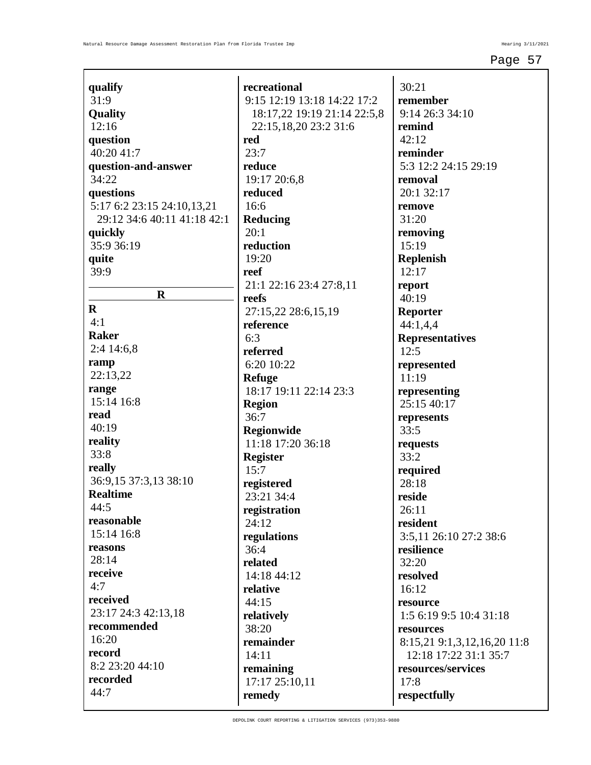| qualify                     | recreational                     |
|-----------------------------|----------------------------------|
| 31:9                        | 9:15 12:19 13:18 14:22 17:2      |
| Quality                     | 18:17,22 19:19 21:14 22:5,8      |
| 12:16                       | 22:15,18,20 23:2 31:6            |
| question                    | red                              |
| 40:20 41:7                  | 23:7                             |
| question-and-answer         | reduce                           |
| 34:22                       | 19:17 20:6,8                     |
| questions                   | reduced                          |
| 5:17 6:2 23:15 24:10,13,21  | 16:6                             |
| 29:12 34:6 40:11 41:18 42:1 | <b>Reducing</b>                  |
| quickly                     | 20:1                             |
| 35:9 36:19                  | reduction                        |
| quite                       | 19:20                            |
| 39:9                        | reef                             |
|                             | 21:1 22:16 23:4 27:8,11          |
| $\bf R$                     | reefs                            |
| $\bf{R}$                    | 27:15,22 28:6,15,19              |
| 4:1                         | reference                        |
| <b>Raker</b>                | 6:3                              |
| $2:4$ 14:6,8                | referred                         |
| ramp                        | 6:20 10:22                       |
| 22:13,22                    |                                  |
| range                       | Refuge<br>18:17 19:11 22:14 23:3 |
| 15:14 16:8                  |                                  |
| read                        | <b>Region</b>                    |
| 40:19                       | 36:7                             |
| reality                     | Regionwide                       |
| 33:8                        | 11:18 17:20 36:18                |
|                             | <b>Register</b>                  |
| really                      | 15:7                             |
| 36:9,15 37:3,13 38:10       | registered                       |
| <b>Realtime</b>             | 23:21 34:4                       |
| 44:5                        | registration                     |
| reasonable                  | 24:12                            |
| 15:14 16:8                  | regulations                      |
| reasons                     | 36:4                             |
| 28:14                       | related                          |
| receive                     | 14:18 44:12                      |
| 4:7                         | relative                         |
| received                    | 44:15                            |
| 23:17 24:3 42:13,18         | relatively                       |
| recommended                 | 38:20                            |
| 16:20                       | remainder                        |
| record                      | 14:11                            |
| 8:2 23:20 44:10             | remaining                        |
| recorded                    | 17:17 25:10,11                   |
| 44:7                        | remedy                           |
|                             |                                  |

30:21 **remember** 9:14 26:3 34:10 **remind** 42:12 **reminder** 5:3 12:2 24:15 29:19 **removal** 20:1 32:17 **remove** 31:20 **removing** 15:19 **Replenish** 12:17 **report**  $40:19$ **Reporter** 44:1,4,4 **Representatives**  $12:5$ **represented** 11:19 **representing** 25:15 40:17 **represents** 33:5 **requests** 33:2 **required** 28:18 **reside** 26:11 **resident** 3:5,11 26:10 27:2 38:6 **resilience** 32:20 **resolved** 16:12 **resource** 1:5 6:19 9:5 10:4 31:18 **resources** 8:15,21 9:1,3,12,16,20 11:8 12:18 17:22 31:1 35:7 **resources/services** 17:8 **respectfully**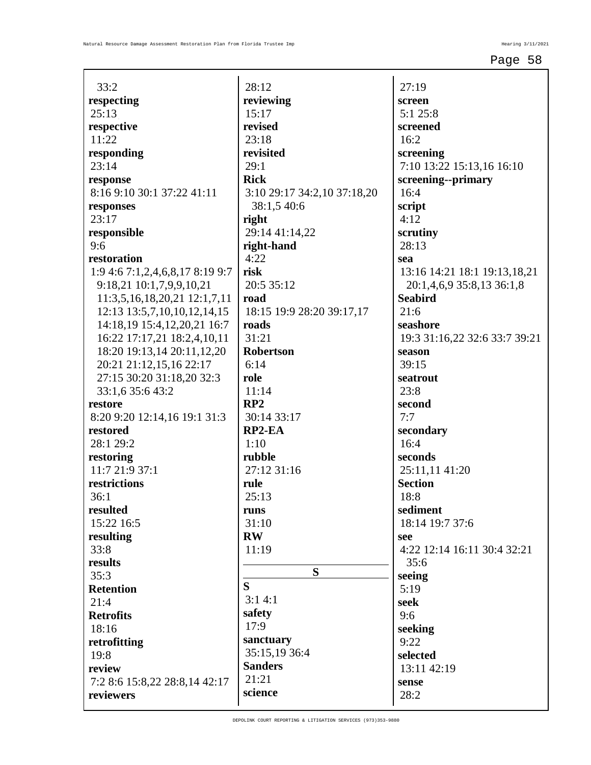| 33:2                            | 28:12                       | 27:19                         |
|---------------------------------|-----------------------------|-------------------------------|
| respecting                      | reviewing                   | screen                        |
| 25:13                           | 15:17                       | 5:1 25:8                      |
| respective                      | revised                     | screened                      |
| 11:22                           | 23:18                       | 16:2                          |
| responding                      | revisited                   | screening                     |
| 23:14                           | 29:1                        | 7:10 13:22 15:13,16 16:10     |
| response                        | <b>Rick</b>                 | screening--primary            |
| 8:16 9:10 30:1 37:22 41:11      | 3:10 29:17 34:2,10 37:18,20 | 16:4                          |
| responses                       | 38:1,5 40:6                 | script                        |
| 23:17                           | right                       | 4:12                          |
| responsible                     | 29:14 41:14,22              | scrutiny                      |
| 9:6                             | right-hand                  | 28:13                         |
| restoration                     | 4:22                        | sea                           |
| 1:9 4:6 7:1,2,4,6,8,17 8:19 9:7 | risk                        | 13:16 14:21 18:1 19:13,18,21  |
| 9:18,21 10:1,7,9,9,10,21        | 20:5 35:12                  | 20:1,4,6,9 35:8,13 36:1,8     |
| 11:3,5,16,18,20,21 12:1,7,11    | road                        | <b>Seabird</b>                |
| 12:13 13:5,7,10,10,12,14,15     | 18:15 19:9 28:20 39:17,17   | 21:6                          |
| 14:18,19 15:4,12,20,21 16:7     | roads                       | seashore                      |
| 16:22 17:17,21 18:2,4,10,11     | 31:21                       | 19:3 31:16,22 32:6 33:7 39:21 |
| 18:20 19:13,14 20:11,12,20      | <b>Robertson</b>            | season                        |
| 20:21 21:12,15,16 22:17         | 6:14                        | 39:15                         |
| 27:15 30:20 31:18,20 32:3       | role                        | seatrout                      |
| 33:1,6 35:6 43:2                | 11:14                       | 23:8                          |
| restore                         | RP2                         | second                        |
| 8:20 9:20 12:14,16 19:1 31:3    | 30:14 33:17                 | 7:7                           |
| restored                        | RP2-EA                      | secondary                     |
| 28:1 29:2                       | 1:10                        | 16:4                          |
| restoring                       | rubble                      | seconds                       |
| 11:721:937:1                    | 27:12 31:16                 | 25:11,11 41:20                |
| restrictions                    | rule                        | <b>Section</b>                |
| 36:1                            | 25:13                       | 18:8                          |
| resulted                        | runs                        | sediment                      |
| 15:22 16:5                      | 31:10                       | 18:14 19:7 37:6               |
| resulting                       | <b>RW</b>                   | see                           |
| 33:8                            | 11:19                       | 4:22 12:14 16:11 30:4 32:21   |
| results                         |                             | 35:6                          |
| 35:3                            | S                           | seeing                        |
| <b>Retention</b>                | S                           | 5:19                          |
| 21:4                            | 3:14:1                      | seek                          |
| <b>Retrofits</b>                | safety                      | 9:6                           |
| 18:16                           | 17:9                        | seeking                       |
| retrofitting                    | sanctuary                   | 9:22                          |
| 19:8                            | 35:15,19 36:4               | selected                      |
| review                          | <b>Sanders</b><br>21:21     | 13:11 42:19                   |
| 7:2 8:6 15:8,22 28:8,14 42:17   | science                     | sense                         |
| reviewers                       |                             | 28:2                          |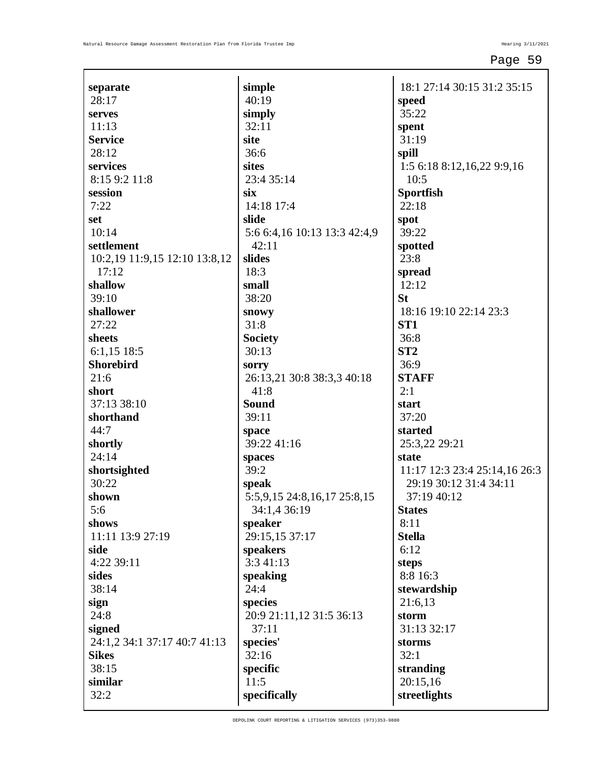| separate                      | simple                       | 18:1 27:14 30:15 31:2 35:15   |
|-------------------------------|------------------------------|-------------------------------|
| 28:17                         | 40:19                        | speed                         |
| serves                        | simply                       | 35:22                         |
| 11:13                         | 32:11                        | spent                         |
| <b>Service</b>                | site                         | 31:19                         |
| 28:12                         | 36:6                         | spill                         |
| services                      | sites                        | 1:5 6:18 8:12,16,22 9:9,16    |
| 8:15 9:2 11:8                 | 23:4 35:14                   | 10:5                          |
| session                       | six                          | <b>Sportfish</b>              |
| 7:22                          | 14:18 17:4                   | 22:18                         |
| set                           | slide                        | spot                          |
| 10:14                         | 5:6 6:4,16 10:13 13:3 42:4,9 | 39:22                         |
| settlement                    | 42:11                        | spotted                       |
| 10:2,19 11:9,15 12:10 13:8,12 | slides                       | 23:8                          |
| 17:12                         | 18:3                         | spread                        |
| shallow                       | small                        | 12:12                         |
| 39:10                         | 38:20                        | <b>St</b>                     |
| shallower                     | snowy                        | 18:16 19:10 22:14 23:3        |
| 27:22                         | 31:8                         | ST <sub>1</sub>               |
| sheets                        | <b>Society</b>               | 36:8                          |
| $6:1,15$ 18:5                 | 30:13                        | ST <sub>2</sub>               |
| <b>Shorebird</b>              | sorry                        | 36:9                          |
| 21:6                          | 26:13,21 30:8 38:3,3 40:18   | <b>STAFF</b>                  |
| short                         | 41:8                         | 2:1                           |
| 37:13 38:10                   | Sound                        | start                         |
| shorthand                     | 39:11                        | 37:20                         |
| 44:7                          | space                        | started                       |
| shortly                       | 39:22 41:16                  | 25:3,22 29:21                 |
| 24:14                         | spaces                       | state                         |
| shortsighted                  | 39:2                         | 11:17 12:3 23:4 25:14,16 26:3 |
| 30:22                         | speak                        | 29:19 30:12 31:4 34:11        |
| shown                         | 5:5,9,15 24:8,16,17 25:8,15  | 37:19 40:12                   |
| 5:6                           | 34:1,4 36:19                 | <b>States</b>                 |
| shows                         | speaker                      | 8:11                          |
| 11:11 13:9 27:19              | 29:15,15 37:17               | <b>Stella</b>                 |
| side                          | speakers                     | 6:12                          |
| 4:22 39:11                    | 3:3 41:13                    | steps                         |
| sides                         | speaking                     | 8:8 16:3                      |
| 38:14                         | 24:4                         | stewardship                   |
| sign                          | species                      | 21:6,13                       |
| 24:8                          | 20:9 21:11,12 31:5 36:13     | storm                         |
| signed                        | 37:11                        | 31:13 32:17                   |
| 24:1,2 34:1 37:17 40:7 41:13  | species'                     | storms                        |
| <b>Sikes</b>                  | 32:16                        | 32:1                          |
| 38:15                         | specific                     | stranding                     |
| similar                       | 11:5                         | 20:15,16                      |
| 32:2                          | specifically                 | streetlights                  |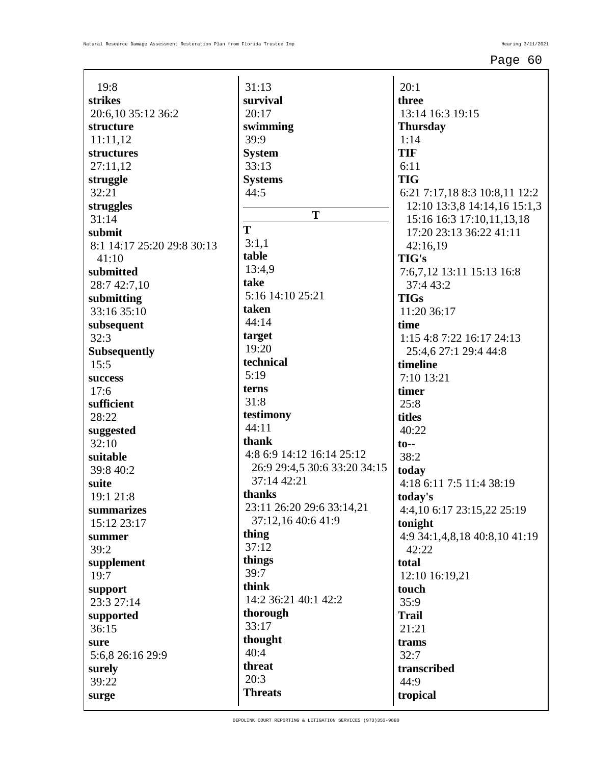| 19:8                        |
|-----------------------------|
| strikes                     |
| 20:6,10 35:12 36:2          |
| structure                   |
| 11:11,12                    |
| structures                  |
| 27:11,12<br>struggle        |
| 32:21                       |
| struggles                   |
| 31:14                       |
| submit                      |
| 8:1 14:17 25:20 29:8 30:13  |
| 41:10                       |
| submitted                   |
| 28:7 42:7,10                |
| submitting                  |
| 33:16 35:10                 |
| subsequent                  |
| 32:3<br><b>Subsequently</b> |
| 15:5                        |
| success                     |
| 17:6                        |
| sufficient                  |
| 28:22                       |
| suggested                   |
| 32:10                       |
| suitable                    |
| 39:8 40:2                   |
| suite                       |
| 19:1 21:8<br>summarizes     |
| 15:12 23:17                 |
| summer                      |
| 39:2                        |
| supplement                  |
| 19:7                        |
| support                     |
| 23:3 27:14                  |
| supported                   |
| 36:15                       |
| sure                        |
| 5:6,8 26:16 29:9            |
| surely<br>39:22             |
| surge                       |
|                             |

31:13 **survival** 20:17 **swimming** 39:9 **System** 33:13 **Systems** 44:5 **T T** 3:1,1 **table** 13:4,9 **take** 5:16 14:10 25:21 **taken** 44:14 **target** 19:20 **technical** 5:19 **terns** 31:8 **testimony** 44:11 **thank** 4:8 6:9 14:12 16:14 25:12 26:9 29:4,5 30:6 33:20 34:15 37:14 42:21 **thanks** 23:11 26:20 29:6 33:14,21 37:12,16 40:6 41:9 **thing** 37:12 **things** 39:7 **think** 14:2 36:21 40:1 42:2 **thorough** 33:17 **thought** 40:4 **threat** 20:3 **Threats**

 $20:1$ **three** 13:14 16:3 19:15 **Thursday** 1:14 **TIF** 6:11 **TIG** 6:21 7:17,18 8:3 10:8,11 12:2 12:10 13:3,8 14:14,16 15:1,3 15:16 16:3 17:10,11,13,18 17:20 23:13 36:22 41:11 42:16,19 **TIG's** 7:6,7,12 13:11 15:13 16:8 37:4 43:2 **TIGs** 11:20 36:17 **time** 1:15 4:8 7:22 16:17 24:13 25:4,6 27:1 29:4 44:8 **timeline** 7:10 13:21 **timer** 25:8 **titles** 40:22 **to--** 38:2 **today** 4:18 6:11 7:5 11:4 38:19 **today's** 4:4,10 6:17 23:15,22 25:19 **tonight** 4:9 34:1,4,8,18 40:8,10 41:19 42:22 **total** 12:10 16:19,21 **touch** 35:9 **Trail** 21:21 **trams** 32:7 **transcribed** 44:9 **tropical**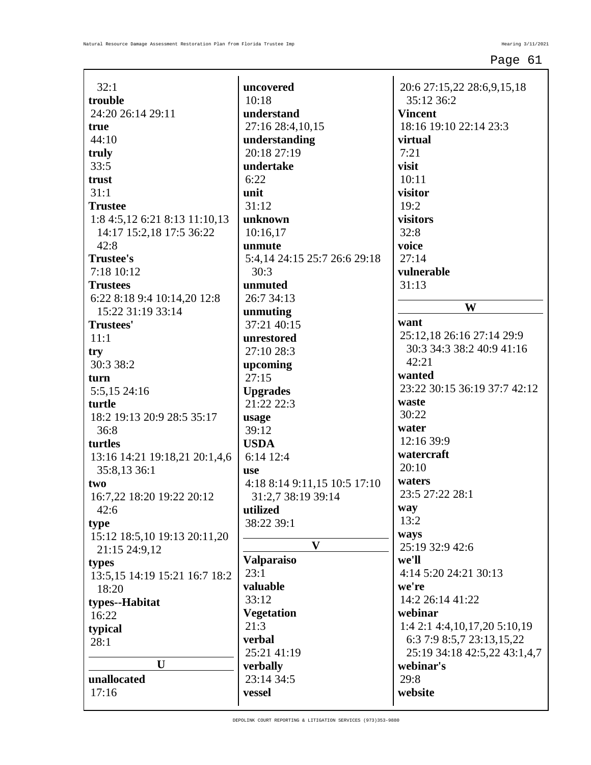| 32:1                            | uncovered                    |
|---------------------------------|------------------------------|
| trouble                         | 10:18                        |
| 24:20 26:14 29:11               | understand                   |
| true                            | 27:16 28:4,10,15             |
| 44:10                           | understanding                |
| truly                           | 20:18 27:19                  |
| 33:5                            | undertake                    |
| trust                           | 6:22                         |
| 31:1                            | unit                         |
| <b>Trustee</b>                  | 31:12                        |
| 1:8 4:5, 12 6:21 8:13 11:10, 13 | unknown                      |
| 14:17 15:2,18 17:5 36:22        | 10:16,17                     |
| 42:8                            | unmute                       |
| <b>Trustee's</b>                | 5:4,14 24:15 25:7 26:6 29:18 |
| 7:18 10:12                      | 30:3                         |
| <b>Trustees</b>                 | unmuted                      |
| 6:22 8:18 9:4 10:14,20 12:8     | 26:7 34:13                   |
| 15:22 31:19 33:14               | unmuting                     |
| <b>Trustees'</b>                | 37:21 40:15                  |
| 11:1                            | unrestored                   |
| try<br>30:3 38:2                | 27:10 28:3                   |
| turn                            | upcoming<br>27:15            |
| 5:5,15 24:16                    | <b>Upgrades</b>              |
| turtle                          | 21:22 22:3                   |
| 18:2 19:13 20:9 28:5 35:17      | usage                        |
| 36:8                            | 39:12                        |
| turtles                         | <b>USDA</b>                  |
| 13:16 14:21 19:18,21 20:1,4,6   | 6:14 12:4                    |
| 35:8,13 36:1                    | use                          |
| two                             | 4:18 8:14 9:11,15 10:5 17:10 |
| 16:7,22 18:20 19:22 20:12       | 31:2,7 38:19 39:14           |
| 42:6                            | utilized                     |
| type                            | 38:22 39:1                   |
| 15:12 18:5,10 19:13 20:11,20    | V                            |
| 21:15 24:9,12                   |                              |
| types                           | <b>Valparaiso</b>            |
| 13:5, 15 14:19 15:21 16:7 18:2  | 23:1<br>valuable             |
| 18:20                           | 33:12                        |
| types--Habitat                  | <b>Vegetation</b>            |
| 16:22                           | 21:3                         |
| typical                         | verbal                       |
| 28:1                            | 25:21 41:19                  |
| U                               | verbally                     |
| unallocated                     | 23:14 34:5                   |
| 17:16                           | vessel                       |
|                                 |                              |

20:6 27:15,22 28:6,9,15,18 35:12 36:2 **Vincent** 18:16 19:10 22:14 23:3 **virtual** 7:21 **visit** 10:11 **visitor** 19:2 **visitors** 32:8 **voice** 27:14 **vulnerable** 31:13 **W want** 25:12,18 26:16 27:14 29:9 30:3 34:3 38:2 40:9 41:16 42:21 **wanted** 23:22 30:15 36:19 37:7 42:12 **waste** 30:22 **water** 12:16 39:9 **watercraft** 20:10 **waters** 23:5 27:22 28:1 **way** 13:2 **ways** 25:19 32:9 42:6 **we'll** 4:14 5:20 24:21 30:13 **we're** 14:2 26:14 41:22 **webinar** 1:4 2:1 4:4,10,17,20 5:10,19 6:3 7:9 8:5,7 23:13,15,22 25:19 34:18 42:5,22 43:1,4,7 **webinar's** 29:8 **website**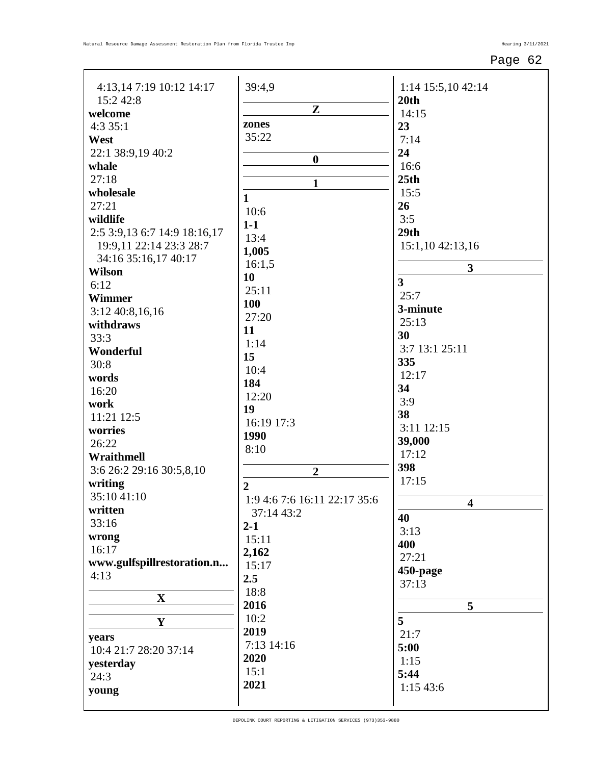| 4:13,14 7:19 10:12 14:17     | 39:4,9                       | 1:14 15:5,10 42:14    |
|------------------------------|------------------------------|-----------------------|
| 15:2 42:8                    |                              | 20th                  |
| welcome                      | $\mathbf{Z}$                 | 14:15                 |
| 4:335:1                      | zones                        | 23                    |
| West                         | 35:22                        | 7:14                  |
| 22:1 38:9,19 40:2            |                              | 24                    |
| whale                        | $\boldsymbol{0}$             | 16:6                  |
| 27:18                        |                              | 25 <sub>th</sub>      |
| wholesale                    | $\mathbf{1}$                 | 15:5                  |
| 27:21                        | $\mathbf{1}$                 | 26                    |
| wildlife                     | 10:6                         | 3:5                   |
| 2:5 3:9,13 6:7 14:9 18:16,17 | $1-1$                        | 29th                  |
| 19:9,11 22:14 23:3 28:7      | 13:4                         | 15:1,10 42:13,16      |
| 34:16 35:16,17 40:17         | 1,005                        |                       |
| <b>Wilson</b>                | 16:1,5                       | $\mathbf{3}$          |
| 6:12                         | 10                           | $\overline{3}$        |
| Wimmer                       | 25:11                        | 25:7                  |
| 3:12 40:8,16,16              | 100                          | 3-minute              |
| withdraws                    | 27:20                        | 25:13                 |
| 33:3                         | 11                           | 30                    |
| Wonderful                    | 1:14                         | 3:7 13:1 25:11        |
| 30:8                         | 15                           | 335                   |
| words                        | 10:4                         | 12:17                 |
| 16:20                        | 184                          | 34                    |
| work                         | 12:20                        | 3:9                   |
| 11:21 12:5                   | 19                           | 38                    |
| worries                      | 16:19 17:3                   | 3:11 12:15            |
| 26:22                        | 1990                         | 39,000                |
| Wraithmell                   | 8:10                         | 17:12                 |
| 3:6 26:2 29:16 30:5,8,10     | $\overline{2}$               | 398                   |
| writing                      | $\overline{2}$               | 17:15                 |
| 35:10 41:10                  | 1:9 4:6 7:6 16:11 22:17 35:6 |                       |
| written                      | 37:14 43:2                   | $\boldsymbol{\Delta}$ |
| 33:16                        | $2 - 1$                      | 40                    |
| wrong                        | 15:11                        | 3:13                  |
| 16:17                        | 2,162                        | 400                   |
| www.gulfspillrestoration.n   | 15:17                        | 27:21                 |
| 4:13                         | 2.5                          | 450-page              |
|                              | 18:8                         | 37:13                 |
| $\mathbf X$                  | 2016                         | 5                     |
|                              | 10:2                         | 5                     |
| $\mathbf Y$                  | 2019                         |                       |
| years                        | 7:13 14:16                   | 21:7                  |
| 10:4 21:7 28:20 37:14        | 2020                         | 5:00                  |
| yesterday                    | 15:1                         | 1:15                  |
| 24:3                         | 2021                         | 5:44                  |
| young                        |                              | 1:15 43:6             |
|                              |                              |                       |